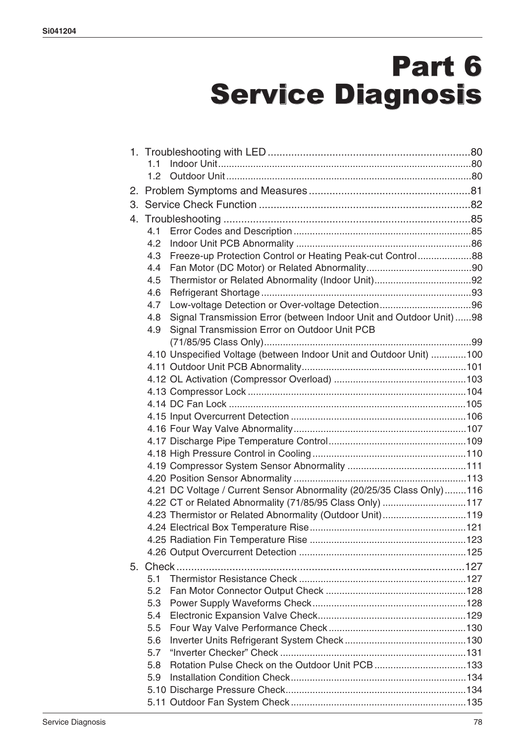# Part 6 Service Diagnosis

|    | 1.1                                                                       |  |
|----|---------------------------------------------------------------------------|--|
|    | 1.2 <sub>1</sub>                                                          |  |
| 2. |                                                                           |  |
|    |                                                                           |  |
| 4. |                                                                           |  |
|    | 4.1                                                                       |  |
|    | 4.2                                                                       |  |
|    | Freeze-up Protection Control or Heating Peak-cut Control88<br>4.3         |  |
|    | 4.4                                                                       |  |
|    | 4.5                                                                       |  |
|    | 4.6                                                                       |  |
|    | 4.7                                                                       |  |
|    | Signal Transmission Error (between Indoor Unit and Outdoor Unit)98<br>4.8 |  |
|    | Signal Transmission Error on Outdoor Unit PCB<br>4.9                      |  |
|    |                                                                           |  |
|    | 4.10 Unspecified Voltage (between Indoor Unit and Outdoor Unit) 100       |  |
|    |                                                                           |  |
|    |                                                                           |  |
|    |                                                                           |  |
|    |                                                                           |  |
|    |                                                                           |  |
|    |                                                                           |  |
|    |                                                                           |  |
|    |                                                                           |  |
|    |                                                                           |  |
|    |                                                                           |  |
|    | 4.21 DC Voltage / Current Sensor Abnormality (20/25/35 Class Only)116     |  |
|    | 4.22 CT or Related Abnormality (71/85/95 Class Only) 117                  |  |
|    | 4.23 Thermistor or Related Abnormality (Outdoor Unit)119                  |  |
|    |                                                                           |  |
|    |                                                                           |  |
|    |                                                                           |  |
| 5. |                                                                           |  |
|    | 5.1                                                                       |  |
|    | 5.2                                                                       |  |
|    | 5.3                                                                       |  |
|    | 5.4                                                                       |  |
|    | 5.5                                                                       |  |
|    | 5.6                                                                       |  |
|    | 5.7                                                                       |  |
|    | Rotation Pulse Check on the Outdoor Unit PCB133<br>5.8                    |  |
|    | 5.9                                                                       |  |
|    |                                                                           |  |
|    |                                                                           |  |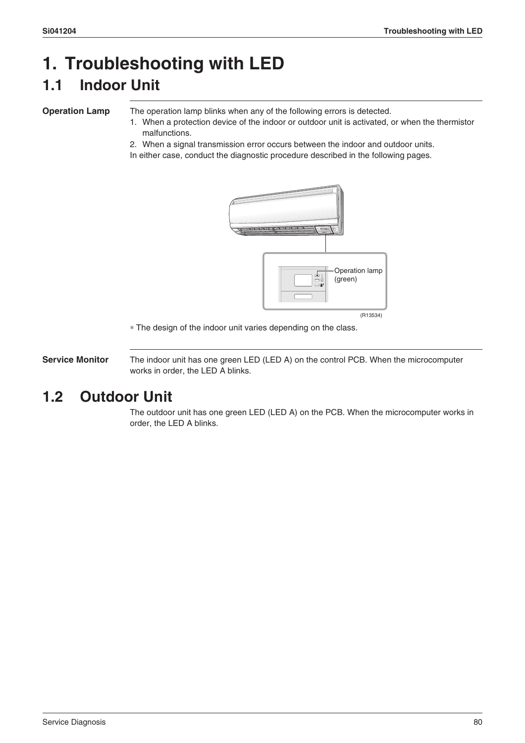### **1. Troubleshooting with LED 1.1 Indoor Unit**

**Operation Lamp** The operation lamp blinks when any of the following errors is detected.

- 1. When a protection device of the indoor or outdoor unit is activated, or when the thermistor malfunctions.
- 2. When a signal transmission error occurs between the indoor and outdoor units.

In either case, conduct the diagnostic procedure described in the following pages.



∗ The design of the indoor unit varies depending on the class.

**Service Monitor** The indoor unit has one green LED (LED A) on the control PCB. When the microcomputer works in order, the LED A blinks.

### **1.2 Outdoor Unit**

The outdoor unit has one green LED (LED A) on the PCB. When the microcomputer works in order, the LED A blinks.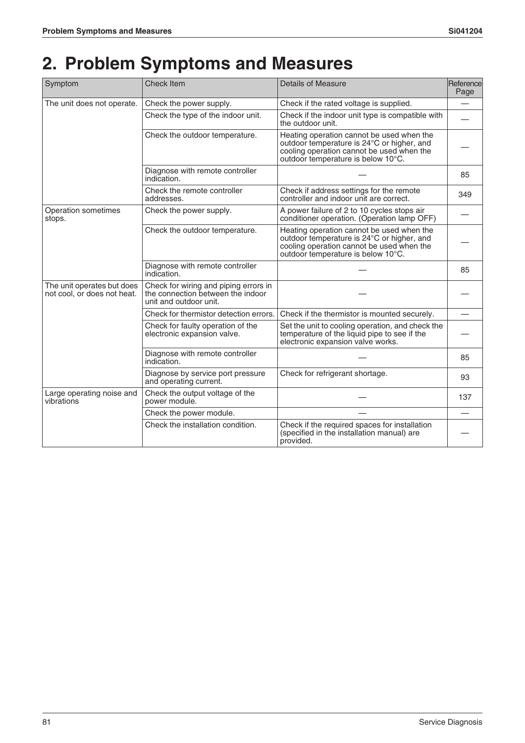## **2. Problem Symptoms and Measures**

| Symptom                                                   | <b>Check Item</b>                                                                                    | Details of Measure<br>Reference                                                                                                                                            |     |
|-----------------------------------------------------------|------------------------------------------------------------------------------------------------------|----------------------------------------------------------------------------------------------------------------------------------------------------------------------------|-----|
| The unit does not operate.                                | Check the power supply.                                                                              | Check if the rated voltage is supplied.                                                                                                                                    |     |
|                                                           | Check the type of the indoor unit.                                                                   | Check if the indoor unit type is compatible with<br>the outdoor unit.                                                                                                      |     |
|                                                           | Check the outdoor temperature.                                                                       | Heating operation cannot be used when the<br>outdoor temperature is 24°C or higher, and<br>cooling operation cannot be used when the<br>outdoor temperature is below 10°C. |     |
|                                                           | Diagnose with remote controller<br>indication.                                                       |                                                                                                                                                                            | 85  |
|                                                           | Check the remote controller<br>addresses.                                                            | Check if address settings for the remote<br>controller and indoor unit are correct.                                                                                        | 349 |
| Operation sometimes<br>stops.                             | Check the power supply.                                                                              | A power failure of 2 to 10 cycles stops air<br>conditioner operation. (Operation lamp OFF)                                                                                 |     |
|                                                           | Check the outdoor temperature.                                                                       | Heating operation cannot be used when the<br>outdoor temperature is 24°C or higher, and<br>cooling operation cannot be used when the<br>outdoor temperature is below 10°C. |     |
|                                                           | Diagnose with remote controller<br>indication.                                                       |                                                                                                                                                                            | 85  |
| The unit operates but does<br>not cool, or does not heat. | Check for wiring and piping errors in<br>the connection between the indoor<br>unit and outdoor unit. |                                                                                                                                                                            |     |
|                                                           | Check for thermistor detection errors.                                                               | Check if the thermistor is mounted securely.                                                                                                                               |     |
|                                                           | Check for faulty operation of the<br>electronic expansion valve.                                     | Set the unit to cooling operation, and check the<br>temperature of the liquid pipe to see if the<br>electronic expansion valve works.                                      |     |
|                                                           | Diagnose with remote controller<br>indication.                                                       |                                                                                                                                                                            | 85  |
|                                                           | Diagnose by service port pressure<br>and operating current.                                          | Check for refrigerant shortage.                                                                                                                                            | 93  |
| Large operating noise and<br>vibrations                   | Check the output voltage of the<br>power module.                                                     |                                                                                                                                                                            | 137 |
|                                                           | Check the power module.                                                                              |                                                                                                                                                                            |     |
|                                                           | Check the installation condition.                                                                    | Check if the required spaces for installation<br>(specified in the installation manual) are<br>provided.                                                                   |     |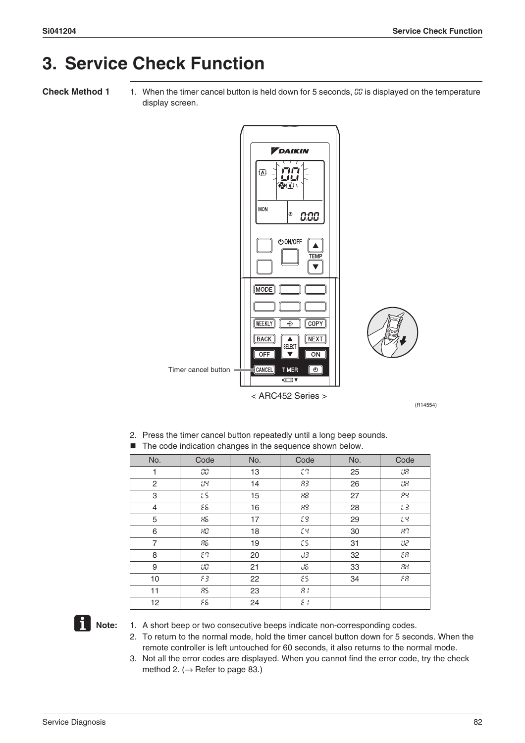## **3. Service Check Function**

**Check Method 1** 1. When the timer cancel button is held down for 5 seconds, 00 is displayed on the temperature display screen.



(R14554)

2. Press the timer cancel button repeatedly until a long beep sounds.

|  | The code indication changes in the sequence shown below. |  |  |  |
|--|----------------------------------------------------------|--|--|--|
|--|----------------------------------------------------------|--|--|--|

| No. | Code | No. | Code  | No. | Code  |
|-----|------|-----|-------|-----|-------|
| 1   | СG   | 13  | εg    | 25  | UЯ    |
| 2   | 많    | 14  | 83.   | 26  | UК    |
| 3   | LS.  | 15  | 88    | 27  | PЧ    |
| 4   | 88   | 16  | 83    | 28  | $L$ 3 |
| 5   | 85   | 17  | t9    | 29  | tЧ    |
| 6   | 80   | 18  | EЧ    | 30  | 89    |
| 7   | 85.  | 19  | £S.   | 31  | us.   |
| 8   | 89   | 20  | 33    | 32  | 88    |
| 9   | Ш    | 21  | d6    | 33  | 88    |
| 10  | 83   | 22  | ٤S.   | 34  | FR.   |
| 11  | 85   | 23  | $R +$ |     |       |
| 12  | 86   | 24  | εt    |     |       |



- **1** Note: 1. A short beep or two consecutive beeps indicate non-corresponding codes.
	- 2. To return to the normal mode, hold the timer cancel button down for 5 seconds. When the remote controller is left untouched for 60 seconds, it also returns to the normal mode.
	- 3. Not all the error codes are displayed. When you cannot find the error code, try the check method 2.  $(\rightarrow$  Refer to page 83.)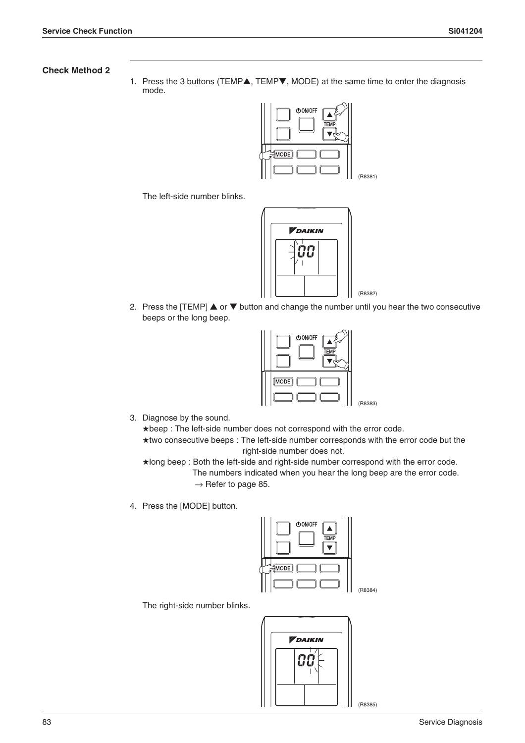#### **Check Method 2**

1. Press the 3 buttons (TEMP▲, TEMP▼, MODE) at the same time to enter the diagnosis mode.



The left-side number blinks.



2. Press the [TEMP] ▲ or ▼ button and change the number until you hear the two consecutive beeps or the long beep.



3. Diagnose by the sound.

★beep : The left-side number does not correspond with the error code. ★two consecutive beeps : The left-side number corresponds with the error code but the right-side number does not.

★long beep : Both the left-side and right-side number correspond with the error code. The numbers indicated when you hear the long beep are the error code.  $\rightarrow$  Refer to page 85.

4. Press the [MODE] button.



The right-side number blinks.



(R8385)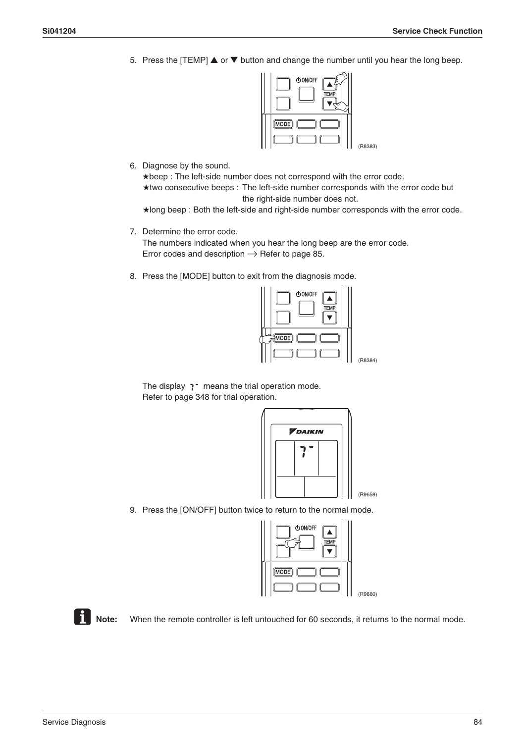5. Press the [TEMP]  $\triangle$  or  $\nabla$  button and change the number until you hear the long beep.



6. Diagnose by the sound.

★beep : The left-side number does not correspond with the error code. ★two consecutive beeps : The left-side number corresponds with the error code but the right-side number does not.

★long beep : Both the left-side and right-side number corresponds with the error code.

- 7. Determine the error code. The numbers indicated when you hear the long beep are the error code. Error codes and description  $\rightarrow$  Refer to page 85.
- 8. Press the [MODE] button to exit from the diagnosis mode.



The display  $7$  means the trial operation mode. Refer to page 348 for trial operation.



9. Press the [ON/OFF] button twice to return to the normal mode.

| <b>心ON/OFF</b><br><b>TEMP</b> |         |
|-------------------------------|---------|
| $[\overline{\text{MODE}}]$    |         |
|                               | (R9660) |

**Note:** When the remote controller is left untouched for 60 seconds, it returns to the normal mode.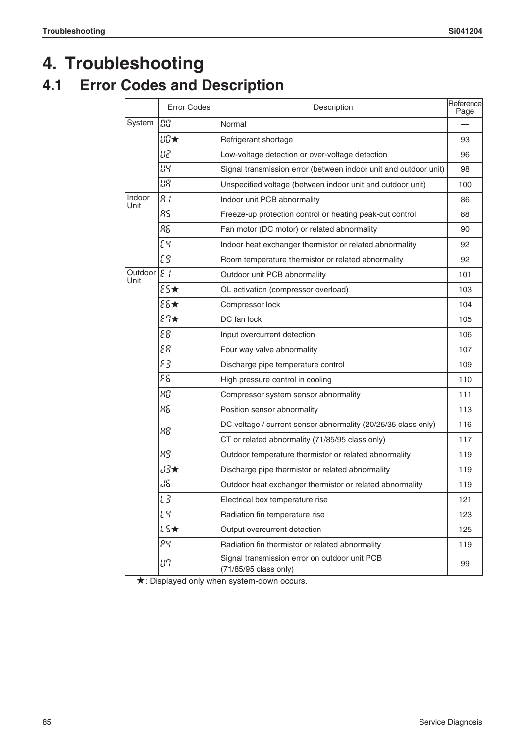## **4. Troubleshooting**

### **4.1 Error Codes and Description**

|                 | <b>Error Codes</b> | Description                                                            | Reference<br>Page |
|-----------------|--------------------|------------------------------------------------------------------------|-------------------|
| System          | CO                 | Normal                                                                 |                   |
|                 | 出版大                | Refrigerant shortage                                                   | 93                |
|                 | ua                 | Low-voltage detection or over-voltage detection                        | 96                |
|                 | 많                  | Signal transmission error (between indoor unit and outdoor unit)       | 98                |
|                 | UR.                | Unspecified voltage (between indoor unit and outdoor unit)             | 100               |
| Indoor<br>Unit  | 异于                 | Indoor unit PCB abnormality                                            | 86                |
|                 | 85                 | Freeze-up protection control or heating peak-cut control               | 88                |
|                 | 85                 | Fan motor (DC motor) or related abnormality                            | 90                |
|                 | EЧ                 | Indoor heat exchanger thermistor or related abnormality                | 92                |
|                 | t9                 | Room temperature thermistor or related abnormality                     | 92                |
| Outdoor<br>Unit | $\epsilon$ :       | Outdoor unit PCB abnormality                                           | 101               |
|                 | $ES+$              | OL activation (compressor overload)                                    | 103               |
|                 | 86★                | Compressor lock                                                        | 104               |
|                 | $E\uparrow\star$   | DC fan lock                                                            | 105               |
|                 | 88                 | Input overcurrent detection                                            | 106               |
|                 | ЕЯ.                | Four way valve abnormality                                             | 107               |
|                 | ЯB                 | Discharge pipe temperature control                                     | 109               |
|                 | ۶S                 | High pressure control in cooling                                       | 110               |
|                 | ЯŌ                 | Compressor system sensor abnormality                                   | 111               |
|                 | 85                 | Position sensor abnormality                                            | 113               |
|                 | 88                 | DC voltage / current sensor abnormality (20/25/35 class only)          | 116               |
|                 |                    | CT or related abnormality (71/85/95 class only)                        | 117               |
|                 | 89                 | Outdoor temperature thermistor or related abnormality                  | 119               |
|                 | 出头                 | Discharge pipe thermistor or related abnormality                       | 119               |
|                 | US.                | Outdoor heat exchanger thermistor or related abnormality               | 119               |
|                 | LΒ                 | Electrical box temperature rise                                        | 121               |
|                 | 1박                 | Radiation fin temperature rise                                         | 123               |
|                 | 15★                | Output overcurrent detection                                           | 125               |
|                 | 99                 | Radiation fin thermistor or related abnormality                        | 119               |
|                 | 비밀                 | Signal transmission error on outdoor unit PCB<br>(71/85/95 class only) | 99                |

★: Displayed only when system-down occurs.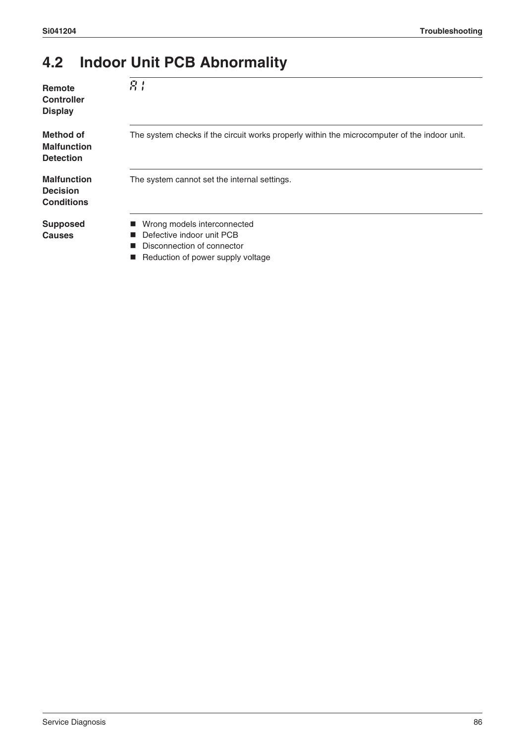### **4.2 Indoor Unit PCB Abnormality**

| Remote<br><b>Controller</b><br><b>Display</b>              | R <sub>i</sub>                                                                                                              |
|------------------------------------------------------------|-----------------------------------------------------------------------------------------------------------------------------|
| Method of<br><b>Malfunction</b><br><b>Detection</b>        | The system checks if the circuit works properly within the microcomputer of the indoor unit.                                |
| <b>Malfunction</b><br><b>Decision</b><br><b>Conditions</b> | The system cannot set the internal settings.                                                                                |
| <b>Supposed</b><br><b>Causes</b>                           | Wrong models interconnected<br>Defective indoor unit PCB<br>Disconnection of connector<br>Reduction of power supply voltage |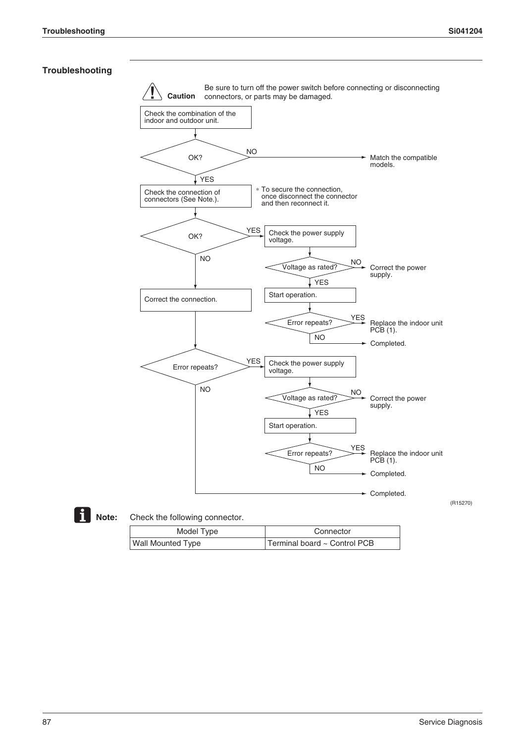### **Troubleshooting**





### **Note:** Check the following connector.

| Model Type        | Connector                    |
|-------------------|------------------------------|
| Wall Mounted Type | Terminal board ~ Control PCB |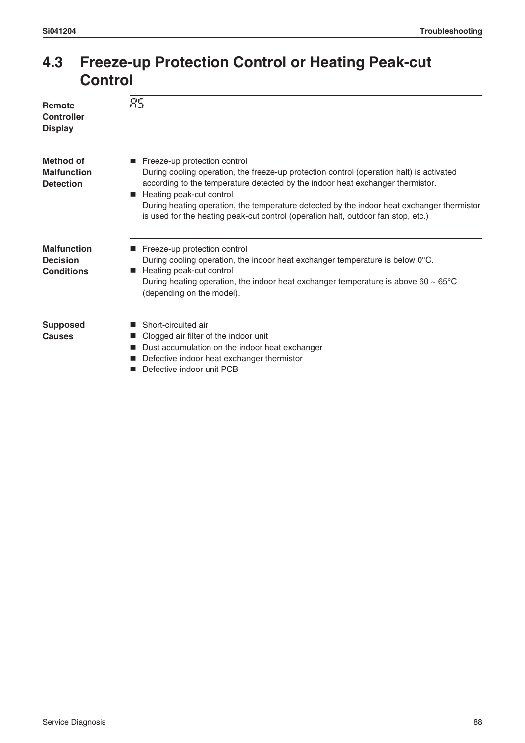### **4.3 Freeze-up Protection Control or Heating Peak-cut Control**

| Remote<br><b>Controller</b><br><b>Display</b>              | 85                                                                                                                                                                                                                                                                                                                                                                                                                          |
|------------------------------------------------------------|-----------------------------------------------------------------------------------------------------------------------------------------------------------------------------------------------------------------------------------------------------------------------------------------------------------------------------------------------------------------------------------------------------------------------------|
| <b>Method of</b><br><b>Malfunction</b><br><b>Detection</b> | ■ Freeze-up protection control<br>During cooling operation, the freeze-up protection control (operation halt) is activated<br>according to the temperature detected by the indoor heat exchanger thermistor.<br>Heating peak-cut control<br>During heating operation, the temperature detected by the indoor heat exchanger thermistor<br>is used for the heating peak-cut control (operation halt, outdoor fan stop, etc.) |
| <b>Malfunction</b><br><b>Decision</b><br><b>Conditions</b> | Freeze-up protection control<br>During cooling operation, the indoor heat exchanger temperature is below 0°C.<br>Heating peak-cut control<br>During heating operation, the indoor heat exchanger temperature is above 60 $\sim$ 65 $\degree$ C<br>(depending on the model).                                                                                                                                                 |
| <b>Supposed</b><br><b>Causes</b>                           | Short-circuited air<br>Clogged air filter of the indoor unit<br>Dust accumulation on the indoor heat exchanger<br>Defective indoor heat exchanger thermistor<br>Defective indoor unit PCB                                                                                                                                                                                                                                   |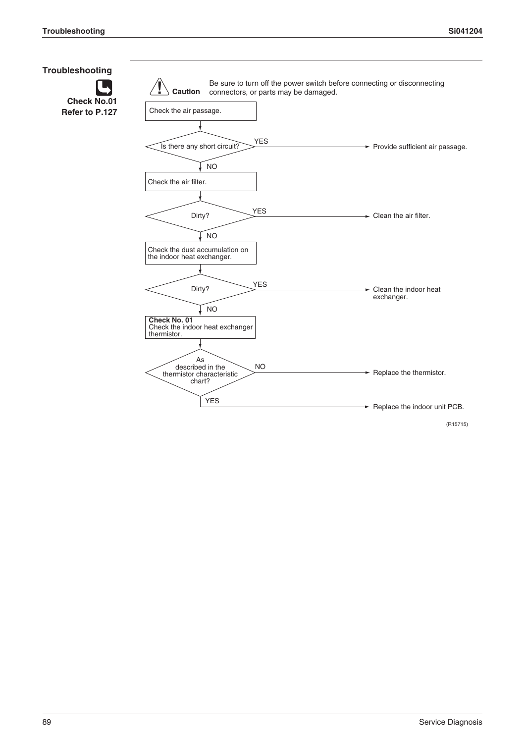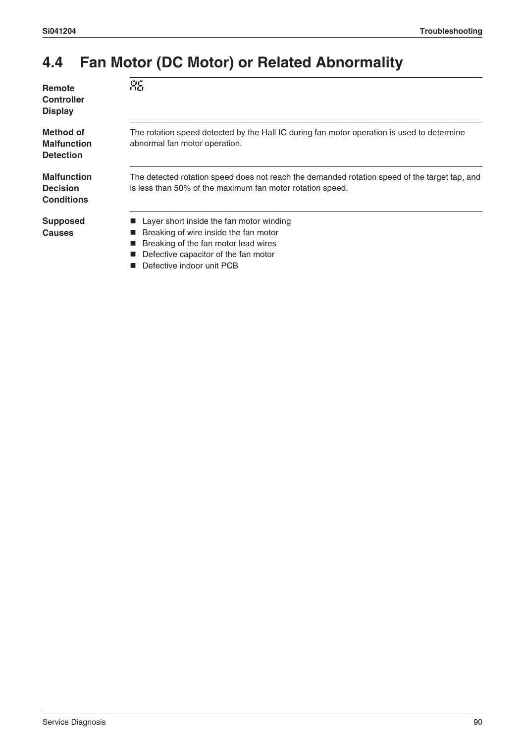### **4.4 Fan Motor (DC Motor) or Related Abnormality**

| Remote            |
|-------------------|
| <b>Controller</b> |
| <b>Display</b>    |

**RG** 

**Method of Malfunction Detection**

**Malfunction Decision Conditions**

**Supposed Causes**

The rotation speed detected by the Hall IC during fan motor operation is used to determine abnormal fan motor operation.

The detected rotation speed does not reach the demanded rotation speed of the target tap, and is less than 50% of the maximum fan motor rotation speed.

- **Layer short inside the fan motor winding**
- $\blacksquare$  Breaking of wire inside the fan motor
- **Breaking of the fan motor lead wires**
- Defective capacitor of the fan motor
- Defective indoor unit PCB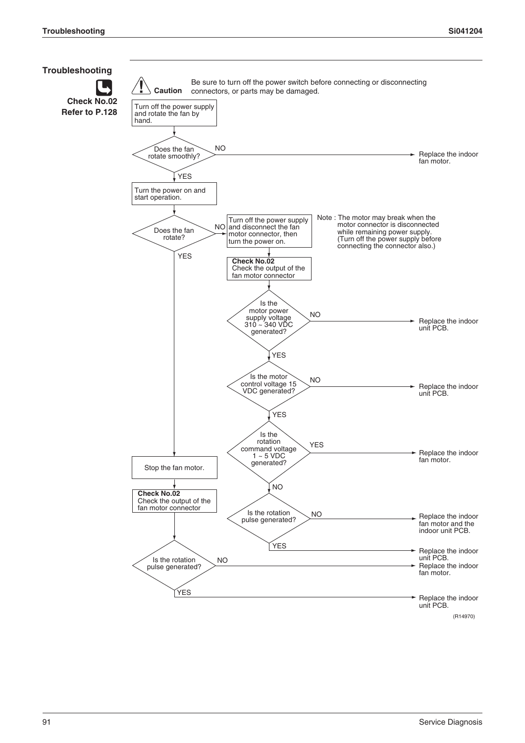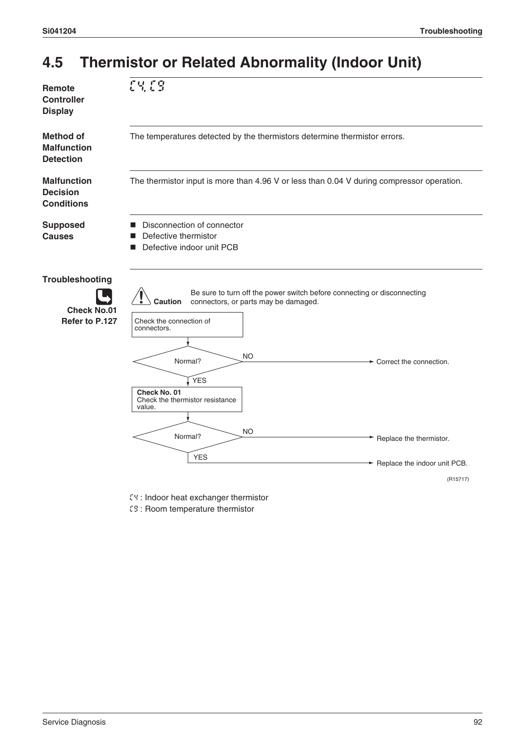### **4.5 Thermistor or Related Abnormality (Indoor Unit)**



- C4 : Indoor heat exchanger thermistor
- C9 : Room temperature thermistor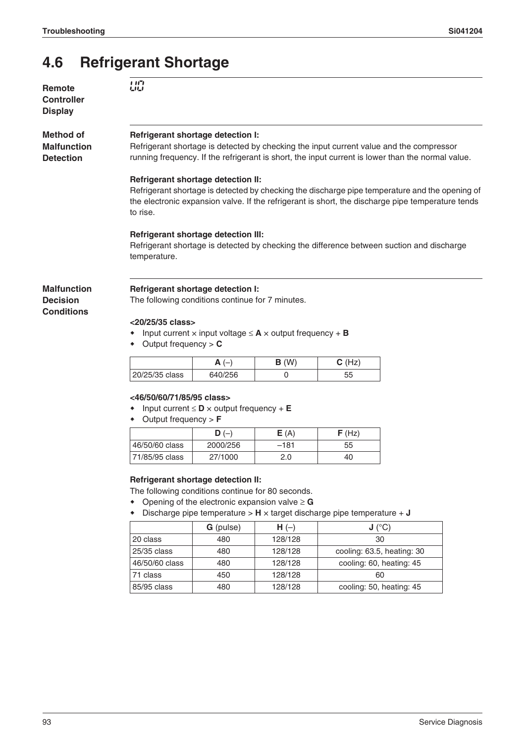### **4.6 Refrigerant Shortage**

**Remote Controller Display**

**Method of Malfunction Detection**

**Malfunction Decision Conditions**

#### **Refrigerant shortage detection I:**

Refrigerant shortage is detected by checking the input current value and the compressor running frequency. If the refrigerant is short, the input current is lower than the normal value.

#### **Refrigerant shortage detection II:**

Refrigerant shortage is detected by checking the discharge pipe temperature and the opening of the electronic expansion valve. If the refrigerant is short, the discharge pipe temperature tends to rise.

#### **Refrigerant shortage detection III:**

Refrigerant shortage is detected by checking the difference between suction and discharge temperature.

### **Refrigerant shortage detection I:**

The following conditions continue for 7 minutes.

#### **<20/25/35 class>**

- Input current × input voltage ≤ **A** × output frequency + **B**
- Output frequency > **C**

|                | <u>гч</u> | (W<br>D | $(H_{71})$<br>⌒<br>ı∠ |
|----------------|-----------|---------|-----------------------|
| 20/25/35 class | 640/256   |         | 55                    |

#### **<46/50/60/71/85/95 class>**

- Input current ≤ **D** × output frequency + **E**
- Output frequency > **F**

|                | D (<br>$\overline{\phantom{0}}$ | E(A)   | F(Hz) |
|----------------|---------------------------------|--------|-------|
| 46/50/60 class | 2000/256                        | $-181$ | 55    |
| 71/85/95 class | 27/1000                         | 2.0    | 40    |

#### **Refrigerant shortage detection II:**

- The following conditions continue for 80 seconds.
- Opening of the electronic expansion valve ≥ **G**
- Discharge pipe temperature > **H** × target discharge pipe temperature + **J**

|                | <b>G</b> (pulse) | $H(-)$  | J (°C)                     |
|----------------|------------------|---------|----------------------------|
| 20 class       | 480              | 128/128 | 30                         |
| 25/35 class    | 480              | 128/128 | cooling: 63.5, heating: 30 |
| 46/50/60 class | 480              | 128/128 | cooling: 60, heating: 45   |
| 71 class       | 450              | 128/128 | 60                         |
| 85/95 class    | 480              | 128/128 | cooling: 50, heating: 45   |

### U0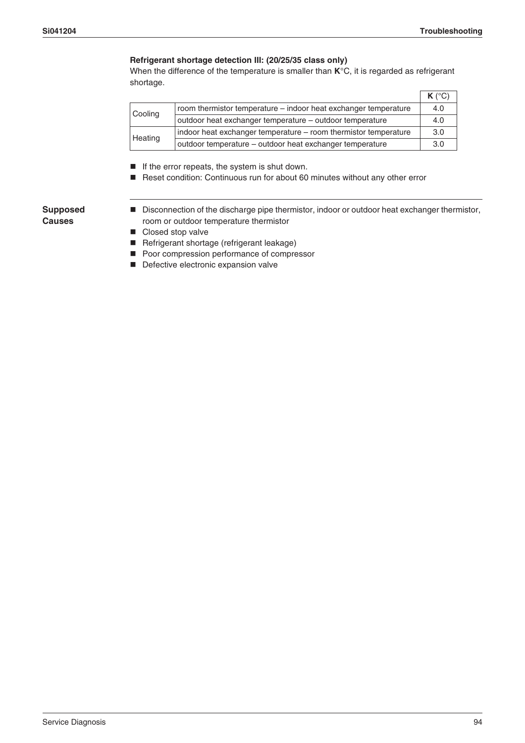#### **Refrigerant shortage detection III: (20/25/35 class only)**

When the difference of the temperature is smaller than **K**°C, it is regarded as refrigerant shortage.

|         |                                                                 | $K(^{\circ}C)$ |
|---------|-----------------------------------------------------------------|----------------|
| Cooling | room thermistor temperature – indoor heat exchanger temperature | 4.0            |
|         | outdoor heat exchanger temperature - outdoor temperature        |                |
| Heating | indoor heat exchanger temperature - room thermistor temperature | 3.0            |
|         | outdoor temperature - outdoor heat exchanger temperature        | 3.0            |

 $\blacksquare$  If the error repeats, the system is shut down.

Reset condition: Continuous run for about 60 minutes without any other error

#### **Supposed Causes**

- Disconnection of the discharge pipe thermistor, indoor or outdoor heat exchanger thermistor, room or outdoor temperature thermistor
- Closed stop valve
- Refrigerant shortage (refrigerant leakage)
- Poor compression performance of compressor
- Defective electronic expansion valve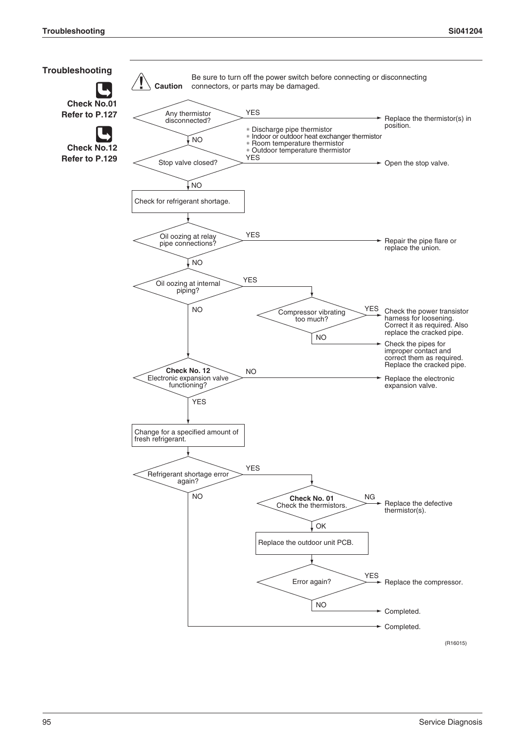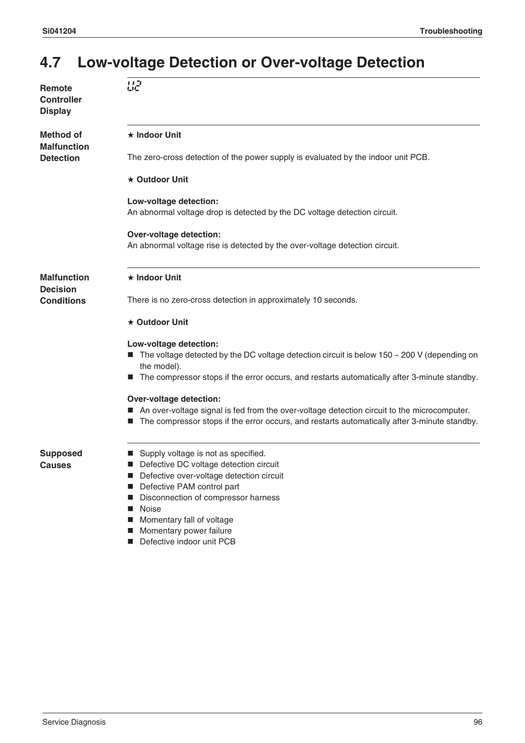### **4.7 Low-voltage Detection or Over-voltage Detection**

| Remote<br><b>Controller</b><br>Display | 品                                                                                                                                                                                                                                                                                                 |
|----------------------------------------|---------------------------------------------------------------------------------------------------------------------------------------------------------------------------------------------------------------------------------------------------------------------------------------------------|
| Method of<br><b>Malfunction</b>        | $\star$ Indoor Unit                                                                                                                                                                                                                                                                               |
| <b>Detection</b>                       | The zero-cross detection of the power supply is evaluated by the indoor unit PCB.                                                                                                                                                                                                                 |
|                                        | $\star$ Outdoor Unit                                                                                                                                                                                                                                                                              |
|                                        | Low-voltage detection:<br>An abnormal voltage drop is detected by the DC voltage detection circuit.                                                                                                                                                                                               |
|                                        | <b>Over-voltage detection:</b><br>An abnormal voltage rise is detected by the over-voltage detection circuit.                                                                                                                                                                                     |
| <b>Malfunction</b><br><b>Decision</b>  | ★ Indoor Unit                                                                                                                                                                                                                                                                                     |
| <b>Conditions</b>                      | There is no zero-cross detection in approximately 10 seconds.                                                                                                                                                                                                                                     |
|                                        | ★ Outdoor Unit                                                                                                                                                                                                                                                                                    |
|                                        | Low-voltage detection:<br>The voltage detected by the DC voltage detection circuit is below 150 $\sim$ 200 V (depending on<br>the model).<br>The compressor stops if the error occurs, and restarts automatically after 3-minute standby.<br>ш                                                    |
|                                        | <b>Over-voltage detection:</b><br>An over-voltage signal is fed from the over-voltage detection circuit to the microcomputer.<br>The compressor stops if the error occurs, and restarts automatically after 3-minute standby.                                                                     |
| Supposed<br>Causes                     | Supply voltage is not as specified.<br>Defective DC voltage detection circuit<br>Defective over-voltage detection circuit<br>Defective PAM control part<br>Disconnection of compressor harness<br>Noise<br>Momentary fall of voltage<br>ш<br>Momentary power failure<br>Defective indoor unit PCB |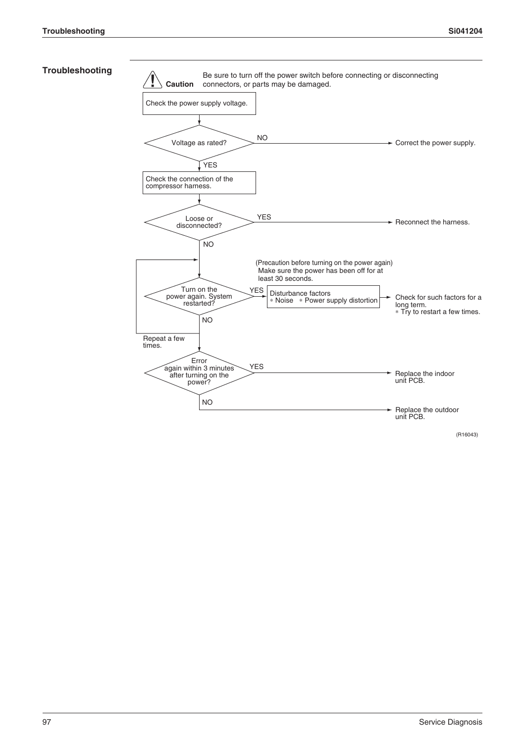#### **Troubleshooting**

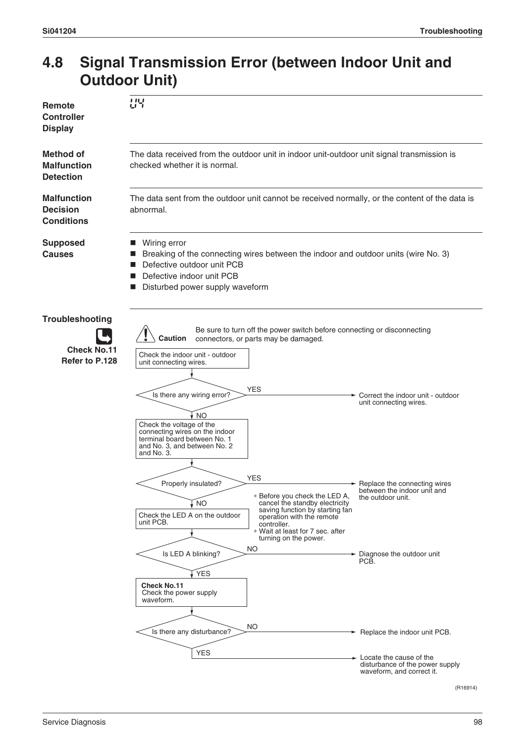### **4.8 Signal Transmission Error (between Indoor Unit and Outdoor Unit)**

| Remote<br><b>Controller</b><br><b>Display</b>              | 내부                                                                                                                                                                                                                                                                                                                                                                                                                                                                                                                                                                                                                                                                                                                                                                                            |                                                                                                                                                                                                    |  |
|------------------------------------------------------------|-----------------------------------------------------------------------------------------------------------------------------------------------------------------------------------------------------------------------------------------------------------------------------------------------------------------------------------------------------------------------------------------------------------------------------------------------------------------------------------------------------------------------------------------------------------------------------------------------------------------------------------------------------------------------------------------------------------------------------------------------------------------------------------------------|----------------------------------------------------------------------------------------------------------------------------------------------------------------------------------------------------|--|
| <b>Method of</b><br><b>Malfunction</b><br><b>Detection</b> | The data received from the outdoor unit in indoor unit-outdoor unit signal transmission is<br>checked whether it is normal.                                                                                                                                                                                                                                                                                                                                                                                                                                                                                                                                                                                                                                                                   |                                                                                                                                                                                                    |  |
| <b>Malfunction</b><br><b>Decision</b><br><b>Conditions</b> | The data sent from the outdoor unit cannot be received normally, or the content of the data is<br>abnormal.                                                                                                                                                                                                                                                                                                                                                                                                                                                                                                                                                                                                                                                                                   |                                                                                                                                                                                                    |  |
| <b>Supposed</b><br><b>Causes</b>                           | Wiring error<br>Breaking of the connecting wires between the indoor and outdoor units (wire No. 3)<br>Defective outdoor unit PCB<br>Defective indoor unit PCB<br>Disturbed power supply waveform                                                                                                                                                                                                                                                                                                                                                                                                                                                                                                                                                                                              |                                                                                                                                                                                                    |  |
| Troubleshooting<br><b>Check No.11</b><br>Refer to P.128    | Be sure to turn off the power switch before connecting or disconnecting<br>Caution<br>connectors, or parts may be damaged.<br>Check the indoor unit - outdoor<br>unit connecting wires.<br><b>YES</b><br>Is there any wiring error?<br>↓ NO<br>Check the voltage of the<br>connecting wires on the indoor<br>terminal board between No. 1<br>and No. 3, and between No. 2<br>and No. 3.<br>YES<br>Properly insulated?<br>* Before you check the LED A,<br>cancel the standby electricity<br>, NO<br>saving function by starting fan<br>Check the LED A on the outdoor<br>operation with the remote<br>unit PCB.<br>controller.<br>* Wait at least for 7 sec. after<br>turning on the power.<br>ΝO<br>Is LED A blinking?<br>√ YES<br><b>Check No.11</b><br>Check the power supply<br>waveform. | Correct the indoor unit - outdoor<br>unit connecting wires.<br>$\rightarrow$ Replace the connecting wires<br>between the indoor unit and<br>the outdoor unit.<br>Diagnose the outdoor unit<br>PCB. |  |
|                                                            | NO<br>Is there any disturbance?<br><b>YES</b>                                                                                                                                                                                                                                                                                                                                                                                                                                                                                                                                                                                                                                                                                                                                                 | $\rightarrow$ Replace the indoor unit PCB.<br>- Locate the cause of the<br>disturbance of the power supply                                                                                         |  |
|                                                            |                                                                                                                                                                                                                                                                                                                                                                                                                                                                                                                                                                                                                                                                                                                                                                                               | waveform, and correct it.<br>(R16914)                                                                                                                                                              |  |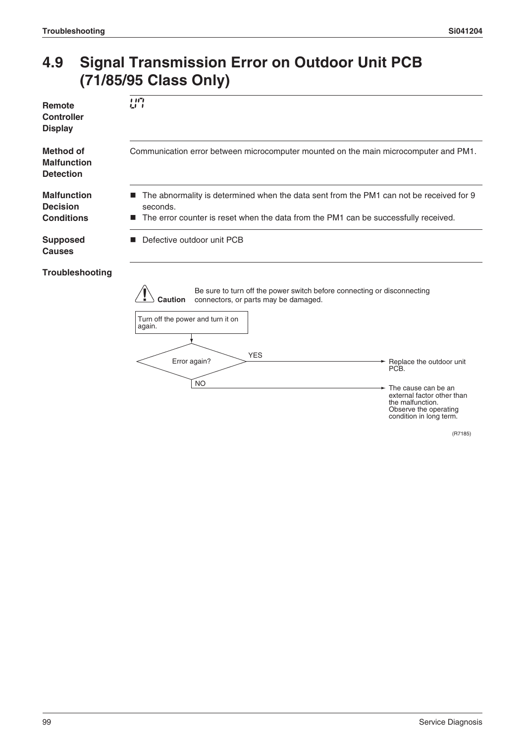### **4.9 Signal Transmission Error on Outdoor Unit PCB (71/85/95 Class Only)**

| Remote<br><b>Controller</b><br><b>Display</b>              | 117<br>LI 1                                                                                                                                                                                                                                                                                                                                                                                  |
|------------------------------------------------------------|----------------------------------------------------------------------------------------------------------------------------------------------------------------------------------------------------------------------------------------------------------------------------------------------------------------------------------------------------------------------------------------------|
| <b>Method of</b><br><b>Malfunction</b><br><b>Detection</b> | Communication error between microcomputer mounted on the main microcomputer and PM1.                                                                                                                                                                                                                                                                                                         |
| <b>Malfunction</b><br><b>Decision</b><br><b>Conditions</b> | The abnormality is determined when the data sent from the PM1 can not be received for 9<br>seconds.<br>The error counter is reset when the data from the PM1 can be successfully received.                                                                                                                                                                                                   |
| <b>Supposed</b><br><b>Causes</b>                           | Defective outdoor unit PCB                                                                                                                                                                                                                                                                                                                                                                   |
| Troubleshooting                                            | Be sure to turn off the power switch before connecting or disconnecting<br><b>Caution</b><br>connectors, or parts may be damaged.<br>Turn off the power and turn it on<br>again.<br><b>YES</b><br>Error again?<br>Replace the outdoor unit<br>PCB.<br><b>NO</b><br>The cause can be an<br>external factor other than<br>the malfunction.<br>Observe the operating<br>condition in long term. |

(R7185)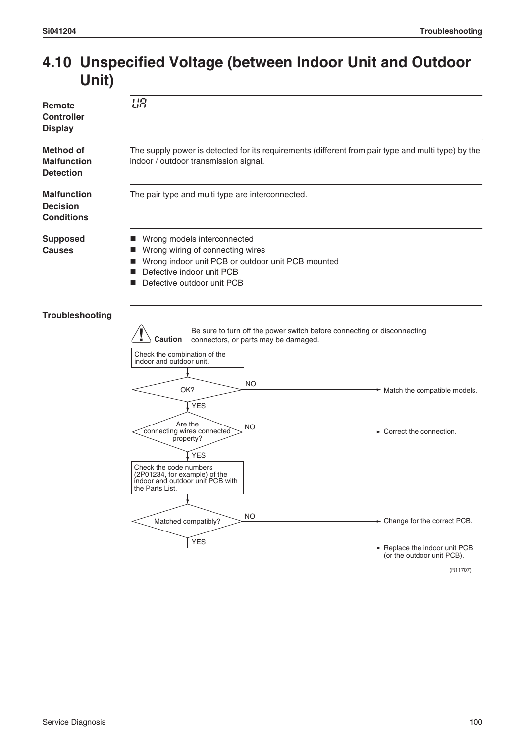### **4.10 Unspecified Voltage (between Indoor Unit and Outdoor Unit)**

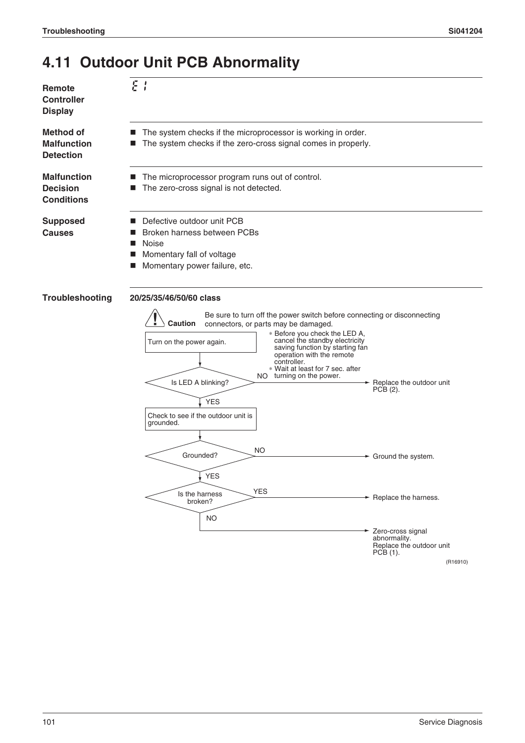### **4.11 Outdoor Unit PCB Abnormality**



YES

YES

NO

Is the harness broken?

(R16910)

Zero-cross signal abnormality. Replace the outdoor unit

Replace the harness.

 $PCB(1)$ .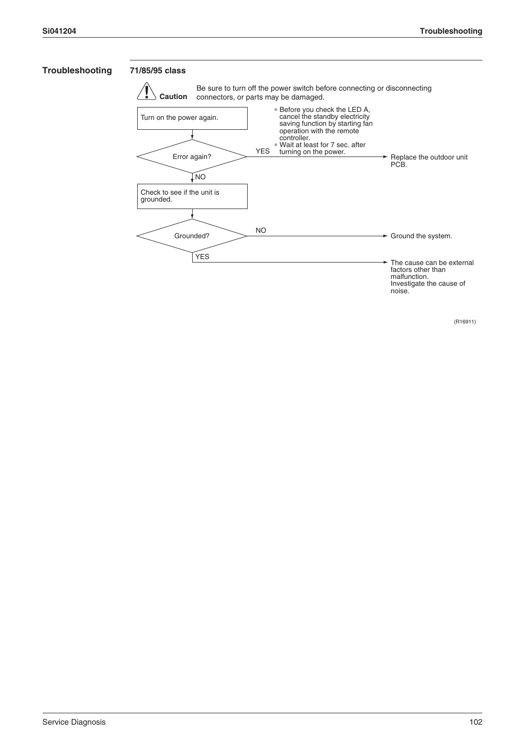#### **Troubleshooting 71/85/95 class**



(R16911)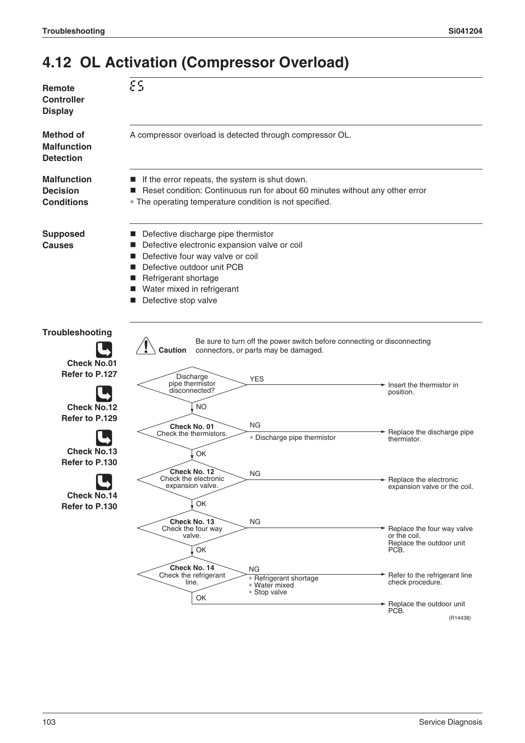## **4.12 OL Activation (Compressor Overload)**

| Remote<br><b>Controller</b><br><b>Display</b>              | εs                                                                                                                                                                                                                                            |                                                                                                                 |                                                                                |
|------------------------------------------------------------|-----------------------------------------------------------------------------------------------------------------------------------------------------------------------------------------------------------------------------------------------|-----------------------------------------------------------------------------------------------------------------|--------------------------------------------------------------------------------|
| <b>Method of</b><br><b>Malfunction</b><br><b>Detection</b> | A compressor overload is detected through compressor OL.                                                                                                                                                                                      |                                                                                                                 |                                                                                |
| <b>Malfunction</b><br><b>Decision</b><br><b>Conditions</b> | If the error repeats, the system is shut down.<br>Reset condition: Continuous run for about 60 minutes without any other error<br>* The operating temperature condition is not specified.                                                     |                                                                                                                 |                                                                                |
| <b>Supposed</b><br><b>Causes</b>                           | Defective discharge pipe thermistor<br>Defective electronic expansion valve or coil<br>Defective four way valve or coil<br>ш<br>Defective outdoor unit PCB<br>ш<br>Refrigerant shortage<br>Water mixed in refrigerant<br>Defective stop valve |                                                                                                                 |                                                                                |
| Troubleshooting<br><b>Check No.01</b>                      | <b>Caution</b>                                                                                                                                                                                                                                | Be sure to turn off the power switch before connecting or disconnecting<br>connectors, or parts may be damaged. |                                                                                |
| Refer to P.127                                             | Discharge<br>pipe thermistor<br>disconnected?                                                                                                                                                                                                 | <b>YES</b>                                                                                                      | Insert the thermistor in<br>position.                                          |
| <b>Check No.12</b>                                         | NO.                                                                                                                                                                                                                                           |                                                                                                                 |                                                                                |
| Refer to P.129                                             |                                                                                                                                                                                                                                               |                                                                                                                 |                                                                                |
|                                                            | Check No. 01<br>Check the thermistors.                                                                                                                                                                                                        | ΝG<br>* Discharge pipe thermistor                                                                               | Replace the discharge pipe<br>thermistor.                                      |
| <b>Check No.13</b>                                         | OK                                                                                                                                                                                                                                            |                                                                                                                 |                                                                                |
| Refer to P.130                                             |                                                                                                                                                                                                                                               |                                                                                                                 |                                                                                |
|                                                            | Check No. 12<br>Check the electronic<br>expansion valve.                                                                                                                                                                                      | ΝG                                                                                                              | $\rightarrow$ Replace the electronic<br>expansion valve or the coil.           |
| <b>Check No.14</b>                                         |                                                                                                                                                                                                                                               |                                                                                                                 |                                                                                |
| Refer to P.130                                             | OK                                                                                                                                                                                                                                            |                                                                                                                 |                                                                                |
|                                                            | Check No. 13<br>Check the four way<br>valve.<br>OK                                                                                                                                                                                            | ΝG                                                                                                              | Replace the four way valve<br>or the coil.<br>Replace the outdoor unit<br>PCB. |
|                                                            | Check No. 14<br>Check the refrigerant<br>line.<br>OK                                                                                                                                                                                          | NG<br>* Refrigerant shortage<br>* Water mixed<br>* Stop valve                                                   | Refer to the refrigerant line<br>check procedure.                              |
|                                                            |                                                                                                                                                                                                                                               |                                                                                                                 | Replace the outdoor unit<br>PCB.                                               |
|                                                            |                                                                                                                                                                                                                                               |                                                                                                                 | (R14438)                                                                       |
|                                                            |                                                                                                                                                                                                                                               |                                                                                                                 |                                                                                |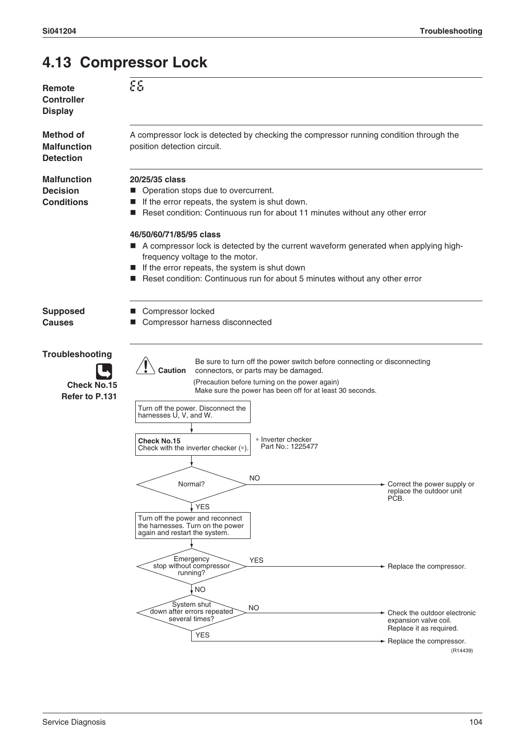### **4.13 Compressor Lock**

| Remote<br><b>Controller</b><br><b>Display</b>              | 85                                                                                                                                                                                                                                                                                                                                                                                                                                                                                                                                                                                                                                                       |                                                                                            |  |
|------------------------------------------------------------|----------------------------------------------------------------------------------------------------------------------------------------------------------------------------------------------------------------------------------------------------------------------------------------------------------------------------------------------------------------------------------------------------------------------------------------------------------------------------------------------------------------------------------------------------------------------------------------------------------------------------------------------------------|--------------------------------------------------------------------------------------------|--|
| Method of<br><b>Malfunction</b><br><b>Detection</b>        | A compressor lock is detected by checking the compressor running condition through the<br>position detection circuit.                                                                                                                                                                                                                                                                                                                                                                                                                                                                                                                                    |                                                                                            |  |
| <b>Malfunction</b><br><b>Decision</b><br><b>Conditions</b> | 20/25/35 class<br>Operation stops due to overcurrent.<br>If the error repeats, the system is shut down.<br>Reset condition: Continuous run for about 11 minutes without any other error                                                                                                                                                                                                                                                                                                                                                                                                                                                                  |                                                                                            |  |
|                                                            | 46/50/60/71/85/95 class<br>A compressor lock is detected by the current waveform generated when applying high-<br>frequency voltage to the motor.<br>If the error repeats, the system is shut down<br>Reset condition: Continuous run for about 5 minutes without any other error                                                                                                                                                                                                                                                                                                                                                                        |                                                                                            |  |
| <b>Supposed</b><br>Causes                                  | ■ Compressor locked<br>Compressor harness disconnected                                                                                                                                                                                                                                                                                                                                                                                                                                                                                                                                                                                                   |                                                                                            |  |
| Troubleshooting<br><b>Check No.15</b><br>Refer to P.131    | Be sure to turn off the power switch before connecting or disconnecting<br>Caution<br>connectors, or parts may be damaged.<br>(Precaution before turning on the power again)<br>Make sure the power has been off for at least 30 seconds.<br>Turn off the power. Disconnect the<br>harnesses U, V, and W.<br>* Inverter checker<br><b>Check No.15</b><br>Part No.: 1225477<br>Check with the inverter checker (*)<br><b>NO</b><br>Normal?<br>↓YES<br>Turn off the power and reconnect<br>the harnesses. Turn on the power<br>again and restart the system.<br>Emergency<br><b>YES</b><br>stop without compressor<br>running?<br><b>NO</b><br>System shut | Correct the power supply or<br>replace the outdoor unit<br>PĊB.<br>Replace the compressor. |  |
|                                                            | <b>NO</b><br>down after errors repeated<br>several times?<br><b>YES</b>                                                                                                                                                                                                                                                                                                                                                                                                                                                                                                                                                                                  | Check the outdoor electronic<br>expansion valve coil.<br>Replace it as required.           |  |
|                                                            |                                                                                                                                                                                                                                                                                                                                                                                                                                                                                                                                                                                                                                                          | $\rightarrow$ Replace the compressor.<br>(R14439)                                          |  |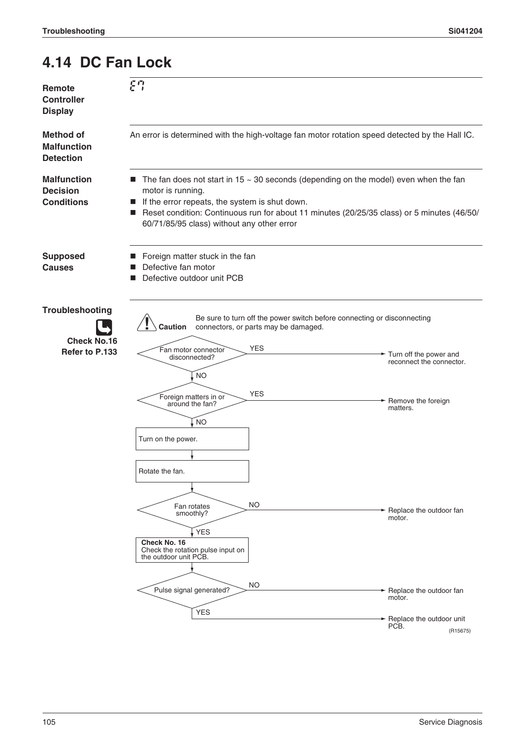### **4.14 DC Fan Lock**

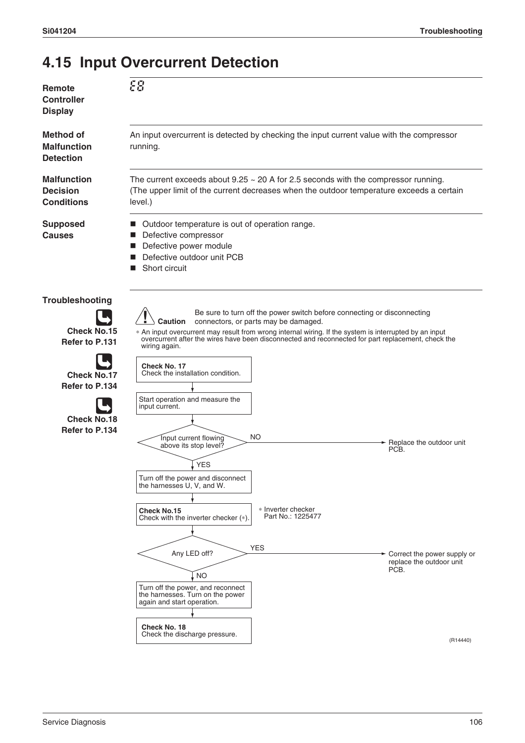### **4.15 Input Overcurrent Detection**

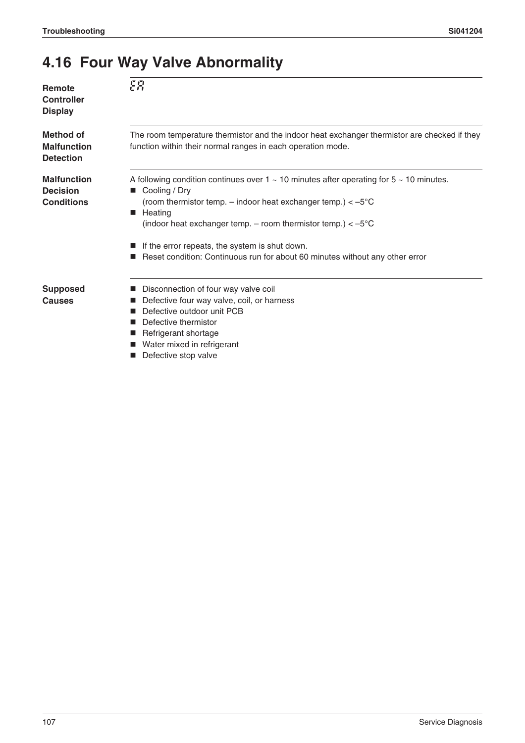### **4.16 Four Way Valve Abnormality**

| Remote<br><b>Controller</b><br><b>Display</b>              | EЯ                                                                                                                                                                                                                                                                                                                                                                                                                           |
|------------------------------------------------------------|------------------------------------------------------------------------------------------------------------------------------------------------------------------------------------------------------------------------------------------------------------------------------------------------------------------------------------------------------------------------------------------------------------------------------|
| <b>Method of</b><br><b>Malfunction</b><br><b>Detection</b> | The room temperature thermistor and the indoor heat exchanger thermistor are checked if they<br>function within their normal ranges in each operation mode.                                                                                                                                                                                                                                                                  |
| <b>Malfunction</b><br><b>Decision</b><br><b>Conditions</b> | A following condition continues over $1 \sim 10$ minutes after operating for $5 \sim 10$ minutes.<br>■ Cooling / Dry<br>(room thermistor temp. $-$ indoor heat exchanger temp.) $< -5^{\circ}C$<br>Heating<br>ш<br>(indoor heat exchanger temp. $-$ room thermistor temp.) $< -5^{\circ}C$<br>If the error repeats, the system is shut down.<br>Reset condition: Continuous run for about 60 minutes without any other error |
| <b>Supposed</b><br>Causes                                  | Disconnection of four way valve coil<br>Defective four way valve, coil, or harness<br>Defective outdoor unit PCB<br>Defective thermistor<br>Refrigerant shortage<br>Water mixed in refrigerant                                                                                                                                                                                                                               |

**Defective stop valve**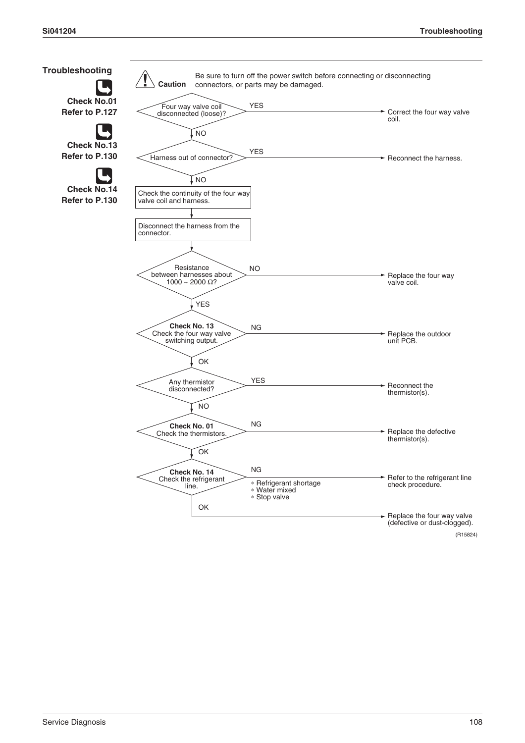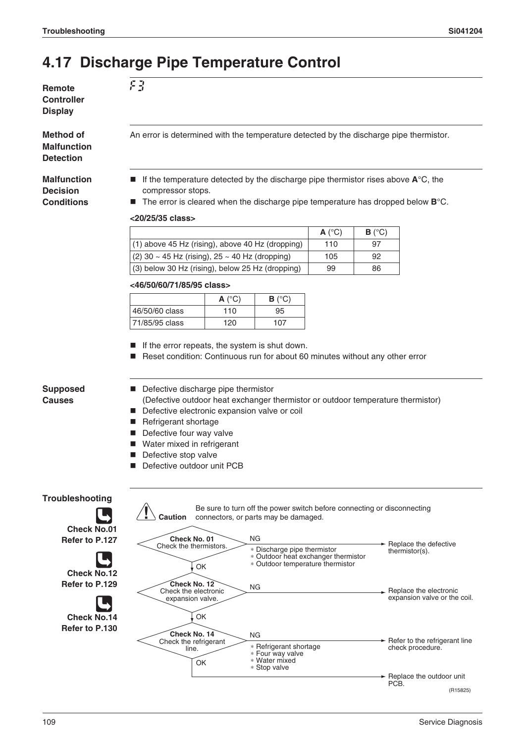### **4.17 Discharge Pipe Temperature Control**

| Remote            |
|-------------------|
| <b>Controller</b> |
| <b>Display</b>    |

**Method of Malfunction Detection**

**Malfunction Decision Conditions**

An error is determined with the temperature detected by the discharge pipe thermistor.

- If the temperature detected by the discharge pipe thermistor rises above **A**<sup>°</sup>C, the compressor stops.
- The error is cleared when the discharge pipe temperature has dropped below **B**°C.

#### **<20/25/35 class>**

F3

|                                                  | $A(^{\circ}C)$ | $B(^{\circ}C)$ |
|--------------------------------------------------|----------------|----------------|
| (1) above 45 Hz (rising), above 40 Hz (dropping) | 110            | 97             |
| $(2)$ 30 ~ 45 Hz (rising), 25 ~ 40 Hz (dropping) | 105            | 92             |
| (3) below 30 Hz (rising), below 25 Hz (dropping) | 99             | 86             |

#### **<46/50/60/71/85/95 class>**

|                | A ( $^{\circ}$ C) | $B(^{\circ}C)$ |
|----------------|-------------------|----------------|
| 46/50/60 class | 110               | 95             |
| 71/85/95 class | 120               | 107            |

- If the error repeats, the system is shut down.
- Reset condition: Continuous run for about 60 minutes without any other error

### **Supposed Causes**

- Defective discharge pipe thermistor
- (Defective outdoor heat exchanger thermistor or outdoor temperature thermistor)
- Defective electronic expansion valve or coil
- Refrigerant shortage
- Defective four way valve
- Water mixed in refrigerant
- Defective stop valve
- Defective outdoor unit PCB

#### **Troubleshooting**

**Check No.01 Refer to P.127**



**Refer to P.129**



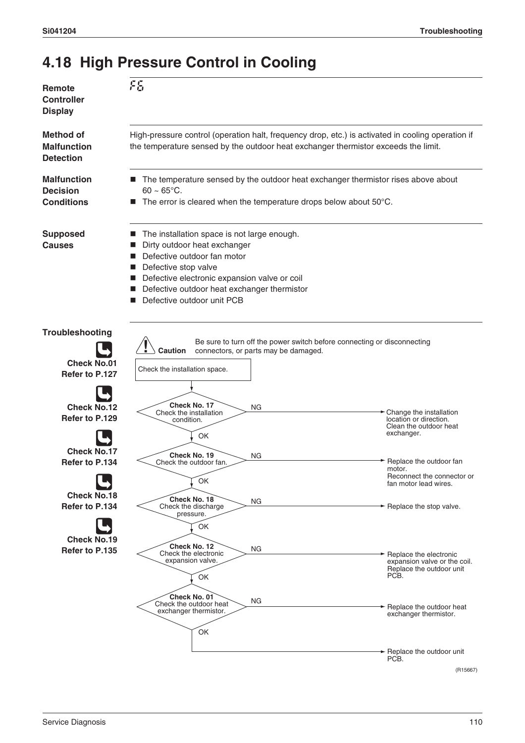### **4.18 High Pressure Control in Cooling**

| Remote<br><b>Controller</b><br><b>Display</b>                  | FS                                                                                                                                                                                                                                                                                  |                                                                                            |  |
|----------------------------------------------------------------|-------------------------------------------------------------------------------------------------------------------------------------------------------------------------------------------------------------------------------------------------------------------------------------|--------------------------------------------------------------------------------------------|--|
| <b>Method of</b><br><b>Malfunction</b><br><b>Detection</b>     | High-pressure control (operation halt, frequency drop, etc.) is activated in cooling operation if<br>the temperature sensed by the outdoor heat exchanger thermistor exceeds the limit.                                                                                             |                                                                                            |  |
| <b>Malfunction</b><br><b>Decision</b><br><b>Conditions</b>     | The temperature sensed by the outdoor heat exchanger thermistor rises above about<br>ш<br>$60 \sim 65^{\circ}$ C.<br>The error is cleared when the temperature drops below about 50°C.                                                                                              |                                                                                            |  |
| <b>Supposed</b><br><b>Causes</b>                               | The installation space is not large enough.<br>Dirty outdoor heat exchanger<br>Defective outdoor fan motor<br>Defective stop valve<br>ш<br>Defective electronic expansion valve or coil<br>ш<br>Defective outdoor heat exchanger thermistor<br>ш<br>Defective outdoor unit PCB<br>■ |                                                                                            |  |
| <b>Troubleshooting</b><br><b>Check No.01</b><br>Refer to P.127 | Be sure to turn off the power switch before connecting or disconnecting<br>$\angle$ Caution<br>connectors, or parts may be damaged.<br>Check the installation space.                                                                                                                |                                                                                            |  |
| <b>Check No.12</b><br>Refer to P.129                           | Check No. 17<br>NG<br>Check the installation<br>condition.<br>OK                                                                                                                                                                                                                    | Change the installation<br>location or direction.<br>Clean the outdoor heat<br>exchanger.  |  |
| <b>Check No.17</b><br>Refer to P.134                           | Check No. 19<br>ΝG<br>Check the outdoor fan.<br>OK                                                                                                                                                                                                                                  | Replace the outdoor fan<br>motor.<br>Reconnect the connector or<br>fan motor lead wires.   |  |
| <b>Check No.18</b><br>Refer to P.134<br><b>Check No.19</b>     | Check No. 18<br>ΝG<br>Check the discharge<br>pressure.<br>OK                                                                                                                                                                                                                        | $\rightarrow$ Replace the stop valve.                                                      |  |
| Refer to P.135                                                 | Check No. 12<br>ΝG<br>Check the electronic<br>expansion valve.<br>OK                                                                                                                                                                                                                | Replace the electronic<br>expansion valve or the coil.<br>Replace the outdoor unit<br>PCB. |  |
|                                                                | Check No. 01<br>ΝG<br>Check the outdoor heat<br>exchanger thermistor.<br>OK                                                                                                                                                                                                         | Replace the outdoor heat<br>exchanger thermistor.                                          |  |
|                                                                |                                                                                                                                                                                                                                                                                     | Replace the outdoor unit<br>PCB.<br>(R15667)                                               |  |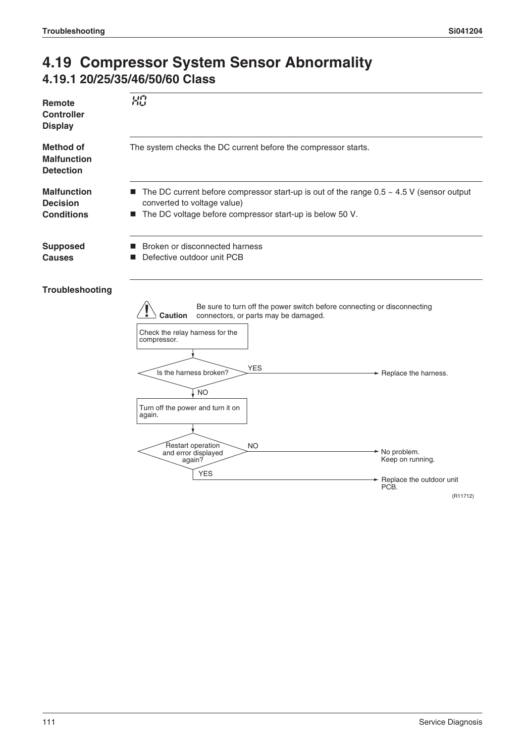### **4.19 Compressor System Sensor Abnormality 4.19.1 20/25/35/46/50/60 Class**

|                                                            | 出身                                                                                                                                                                                                                                                                                                    |
|------------------------------------------------------------|-------------------------------------------------------------------------------------------------------------------------------------------------------------------------------------------------------------------------------------------------------------------------------------------------------|
| Remote<br>Controller<br><b>Display</b>                     |                                                                                                                                                                                                                                                                                                       |
| <b>Method of</b><br><b>Malfunction</b><br><b>Detection</b> | The system checks the DC current before the compressor starts.                                                                                                                                                                                                                                        |
| <b>Malfunction</b><br><b>Decision</b><br><b>Conditions</b> | The DC current before compressor start-up is out of the range $0.5 \sim 4.5$ V (sensor output<br>$\blacksquare$<br>converted to voltage value)<br>The DC voltage before compressor start-up is below 50 V.<br>ш                                                                                       |
| <b>Supposed</b><br><b>Causes</b>                           | Broken or disconnected harness<br>■<br>Defective outdoor unit PCB<br>■                                                                                                                                                                                                                                |
| Troubleshooting                                            | Be sure to turn off the power switch before connecting or disconnecting<br>connectors, or parts may be damaged.<br>Caution<br>Check the relay harness for the<br>compressor.<br><b>YES</b><br>Is the harness broken?<br>► Replace the harness.<br>Į no<br>Turn off the power and turn it on<br>again. |
|                                                            | Restart operation<br><b>NO</b><br>No problem.<br>and error displayed<br>Keep on running.<br>again?<br><b>YES</b><br>Replace the outdoor unit                                                                                                                                                          |
|                                                            | PCB.<br>(R11712)                                                                                                                                                                                                                                                                                      |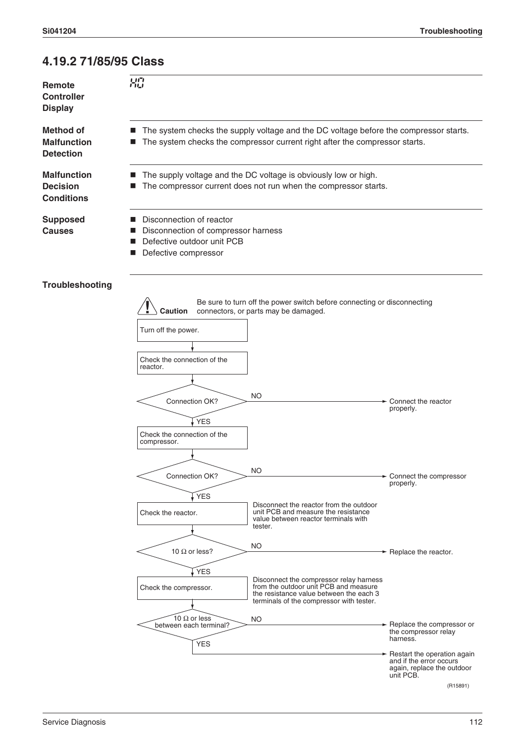### **4.19.2 71/85/95 Class**

 $H<sub>0</sub>$ 

**Remote Controller Display**

**Method of Malfunction Detection**

**Malfunction Decision Conditions**

**Causes**

- The system checks the supply voltage and the DC voltage before the compressor starts.
- The system checks the compressor current right after the compressor starts.
	- The supply voltage and the DC voltage is obviously low or high.
	- The compressor current does not run when the compressor starts.

**Supposed** 

- 
- Disconnection of reactor Disconnection of compressor harness
- Defective outdoor unit PCB
- Defective compressor

### **Troubleshooting**

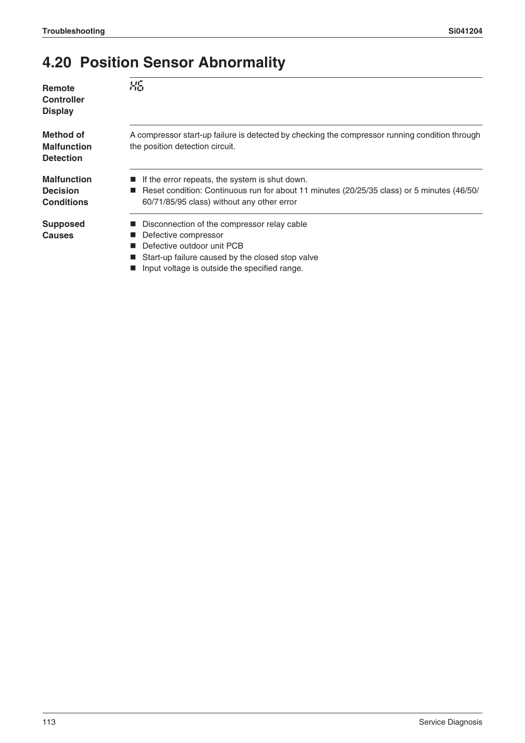## **4.20 Position Sensor Abnormality**

| Remote<br><b>Controller</b><br><b>Display</b>              | 吊后                                                                                                                                                                                           |
|------------------------------------------------------------|----------------------------------------------------------------------------------------------------------------------------------------------------------------------------------------------|
| Method of<br><b>Malfunction</b><br><b>Detection</b>        | A compressor start-up failure is detected by checking the compressor running condition through<br>the position detection circuit.                                                            |
| <b>Malfunction</b><br><b>Decision</b><br><b>Conditions</b> | If the error repeats, the system is shut down.<br>■ Reset condition: Continuous run for about 11 minutes (20/25/35 class) or 5 minutes (46/50/<br>60/71/85/95 class) without any other error |
| <b>Supposed</b><br><b>Causes</b>                           | Disconnection of the compressor relay cable<br>Defective compressor<br>Defective outdoor unit PCB<br>Start-up failure caused by the closed stop valve                                        |

**Input voltage is outside the specified range.**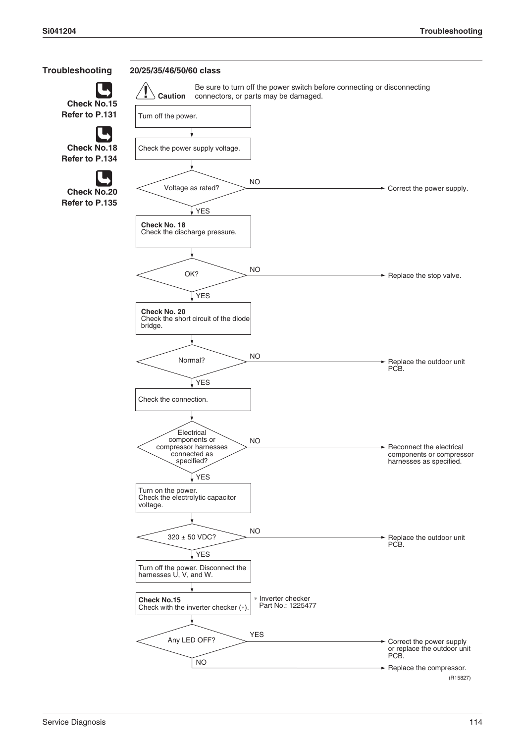

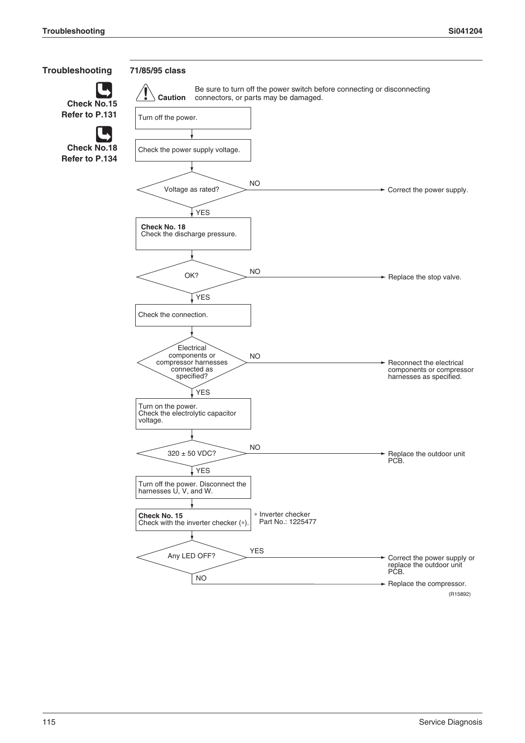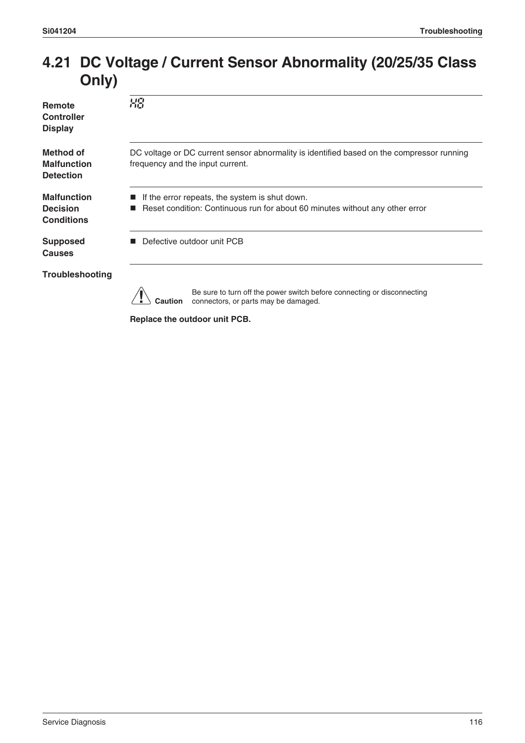### **4.21 DC Voltage / Current Sensor Abnormality (20/25/35 Class Only)**

| <b>Remote</b><br><b>Controller</b><br><b>Display</b>       | 88                                                                                                                             |  |
|------------------------------------------------------------|--------------------------------------------------------------------------------------------------------------------------------|--|
| <b>Method of</b><br><b>Malfunction</b><br><b>Detection</b> | DC voltage or DC current sensor abnormality is identified based on the compressor running<br>frequency and the input current.  |  |
| <b>Malfunction</b><br><b>Decision</b><br><b>Conditions</b> | If the error repeats, the system is shut down.<br>Reset condition: Continuous run for about 60 minutes without any other error |  |
| <b>Supposed</b><br><b>Causes</b>                           | Defective outdoor unit PCB                                                                                                     |  |
| <b>Troubleshooting</b>                                     |                                                                                                                                |  |
|                                                            | Be sure to turn off the power switch before connecting or disconnecting<br>Caution<br>connectors, or parts may be damaged.     |  |

**Replace the outdoor unit PCB.**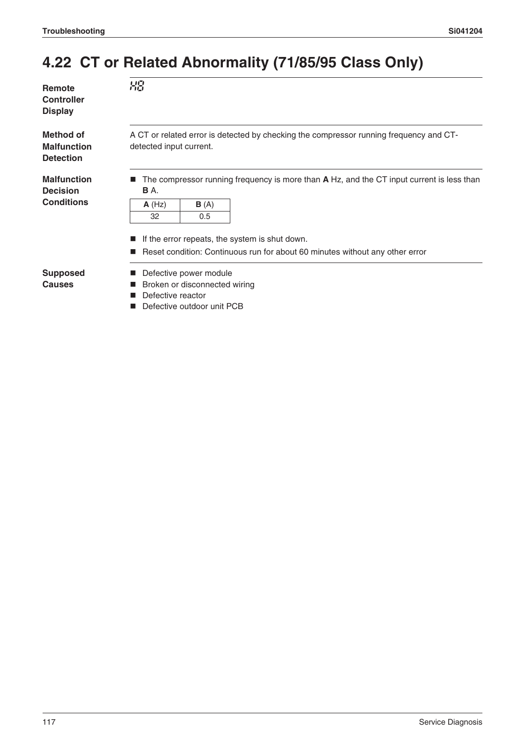### **4.22 CT or Related Abnormality (71/85/95 Class Only)**

| Remote                              | XS               |  |
|-------------------------------------|------------------|--|
| <b>Controller</b><br><b>Display</b> |                  |  |
| Method of                           | A CT or related  |  |
| <b>Malfunction</b>                  | detected input c |  |

error is detected by checking the compressor running frequency and CTdetected input current.

**Malfunction Decision Conditions**

**Detection**

■ The compressor running frequency is more than **A** Hz, and the CT input current is less than **B** A.

| A(Hz) | B(A) |
|-------|------|
| 32    | 0.5  |

- $\blacksquare$  If the error repeats, the system is shut down.
- Reset condition: Continuous run for about 60 minutes without any other error

**Supposed Causes**

- **Defective power module**
- Broken or disconnected wiring
- Defective reactor
- Defective outdoor unit PCB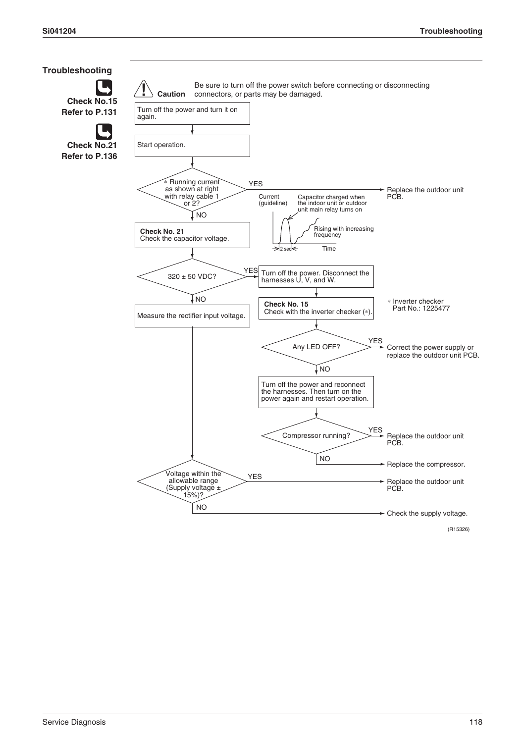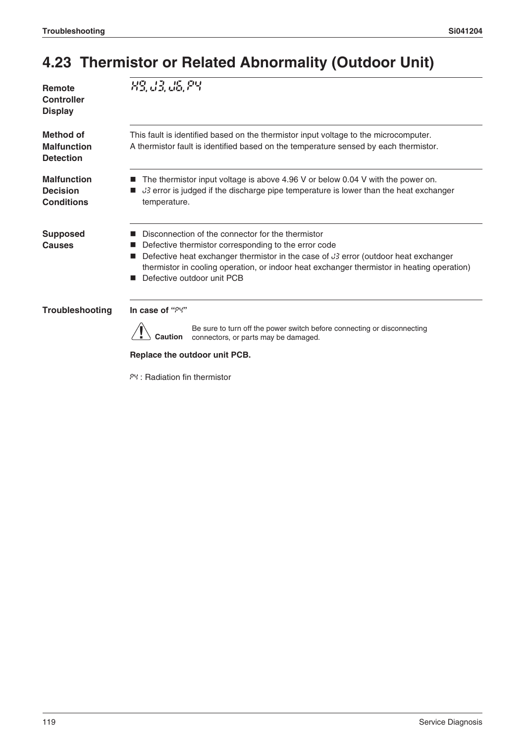## **4.23 Thermistor or Related Abnormality (Outdoor Unit)**

| Remote<br><b>Controller</b><br><b>Display</b>              | 89, 33, 36, 89                                                                                                                                                                                                                                                                                                               |
|------------------------------------------------------------|------------------------------------------------------------------------------------------------------------------------------------------------------------------------------------------------------------------------------------------------------------------------------------------------------------------------------|
| <b>Method of</b><br><b>Malfunction</b><br><b>Detection</b> | This fault is identified based on the thermistor input voltage to the microcomputer.<br>A thermistor fault is identified based on the temperature sensed by each thermistor.                                                                                                                                                 |
| <b>Malfunction</b><br><b>Decision</b><br><b>Conditions</b> | The thermistor input voltage is above 4.96 V or below 0.04 V with the power on.<br>3 error is judged if the discharge pipe temperature is lower than the heat exchanger<br>temperature.                                                                                                                                      |
| <b>Supposed</b><br>Causes                                  | Disconnection of the connector for the thermistor<br>Defective thermistor corresponding to the error code<br>Defective heat exchanger thermistor in the case of J3 error (outdoor heat exchanger<br>thermistor in cooling operation, or indoor heat exchanger thermistor in heating operation)<br>Defective outdoor unit PCB |
| Troubleshooting                                            | In case of "PY"<br>Be sure to turn off the power switch before connecting or disconnecting<br>Caution<br>connectors, or parts may be damaged.<br>Replace the outdoor unit PCB.                                                                                                                                               |

P4 : Radiation fin thermistor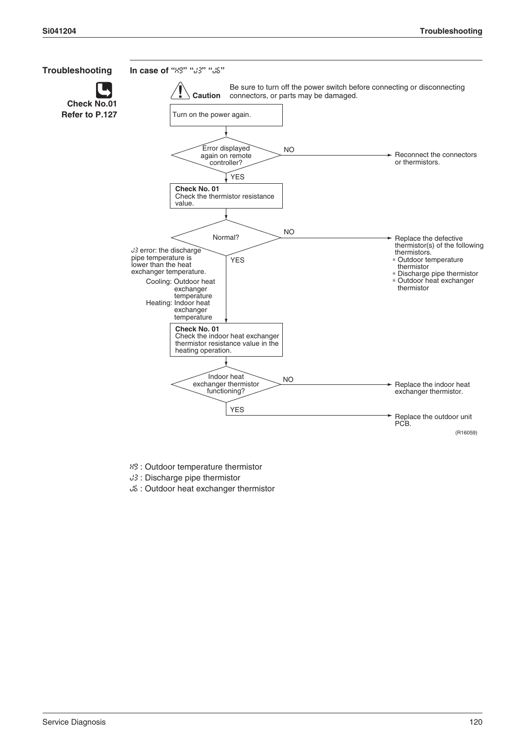

H9 : Outdoor temperature thermistor

- J3 : Discharge pipe thermistor
- J6 : Outdoor heat exchanger thermistor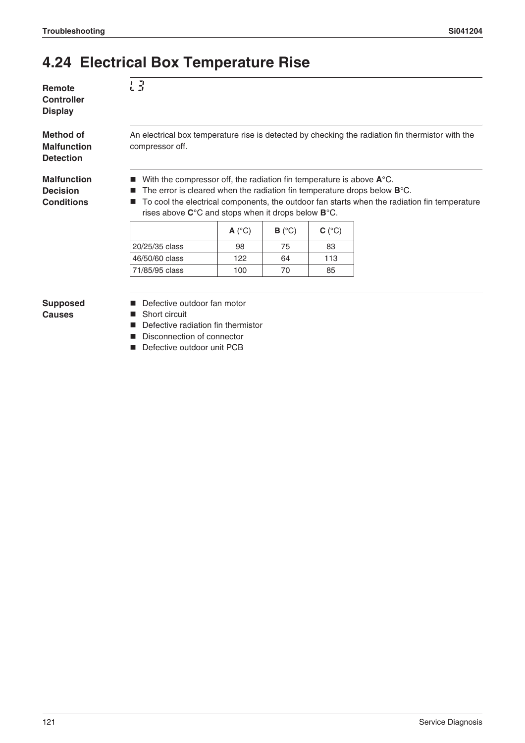### **4.24 Electrical Box Temperature Rise**

L3

**Remote Controller Display**

**Method of Malfunction Detection**

**Malfunction Decision Conditions**

An electrical box temperature rise is detected by checking the radiation fin thermistor with the compressor off.

- With the compressor off, the radiation fin temperature is above  $A^{\circ}C$ .
- The error is cleared when the radiation fin temperature drops below **B**°C.
- To cool the electrical components, the outdoor fan starts when the radiation fin temperature rises above **C**°C and stops when it drops below **B**°C.

|                | $A(^{\circ}C)$ | $B(^{\circ}C)$ | $C(^{\circ}C)$ |
|----------------|----------------|----------------|----------------|
| 20/25/35 class | 98             | 75             | 83             |
| 46/50/60 class | 122            | 64             | 113            |
| 71/85/95 class | 100            | 70             | 85             |

#### **Supposed Causes**

- Defective outdoor fan motor
- Short circuit
- Defective radiation fin thermistor
- Disconnection of connector
- Defective outdoor unit PCB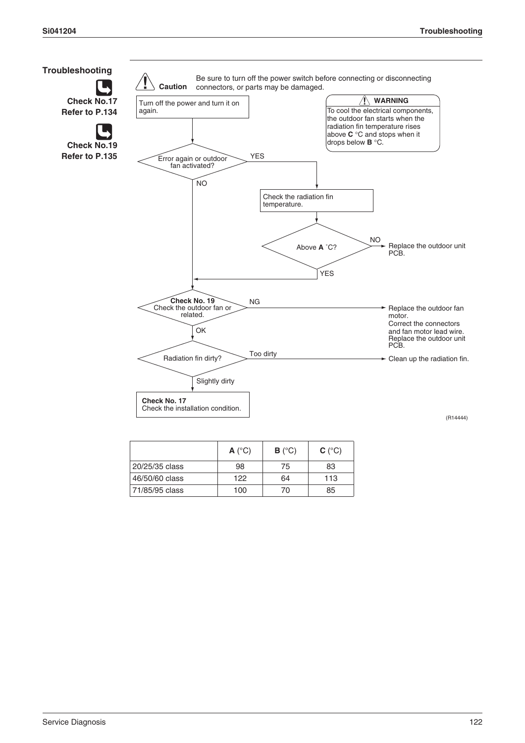

|                | $A(^{\circ}C)$ | $B(^{\circ}C)$ | $C(^{\circ}C)$ |
|----------------|----------------|----------------|----------------|
| 20/25/35 class | 98             | 75             | 83             |
| 46/50/60 class | 122            | 64             | 113            |
| 71/85/95 class | 100            | 70             | 85             |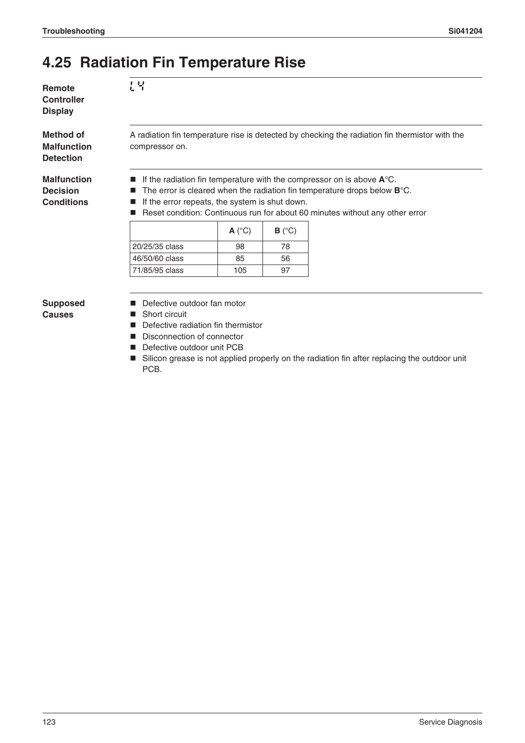### **4.25 Radiation Fin Temperature Rise**

 $L<sub>4</sub>$ 

**Remote Controller Display**

**Method of Malfunction Detection**

**Malfunction Decision Conditions**

A radiation fin temperature rise is detected by checking the radiation fin thermistor with the compressor on.

- If the radiation fin temperature with the compressor on is above  $A^{\circ}C$ .
- The error is cleared when the radiation fin temperature drops below **B**°C.
- $\blacksquare$  If the error repeats, the system is shut down.
- Reset condition: Continuous run for about 60 minutes without any other error

|                | $A(^{\circ}C)$ | $B(^{\circ}C)$ |
|----------------|----------------|----------------|
| 20/25/35 class | 98             | 78             |
| 46/50/60 class | 85             | 56             |
| 71/85/95 class | 105            |                |

**Supposed Causes**

- Defective outdoor fan motor
- Short circuit
- Defective radiation fin thermistor
- Disconnection of connector
- **Defective outdoor unit PCB**
- Silicon grease is not applied properly on the radiation fin after replacing the outdoor unit PCB.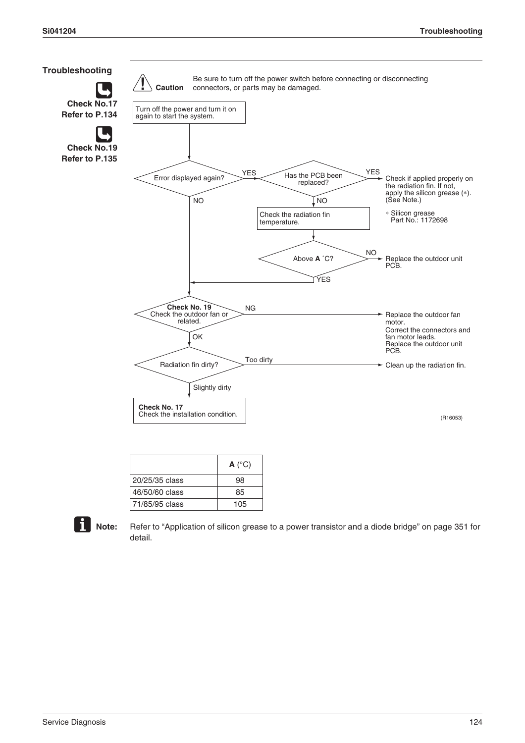

|                | $A(^{\circ}C)$ |
|----------------|----------------|
| 20/25/35 class | 98             |
| 46/50/60 class | 85             |
| 71/85/95 class | 105            |



**Note:** Refer to "Application of silicon grease to a power transistor and a diode bridge" on page 351 for detail.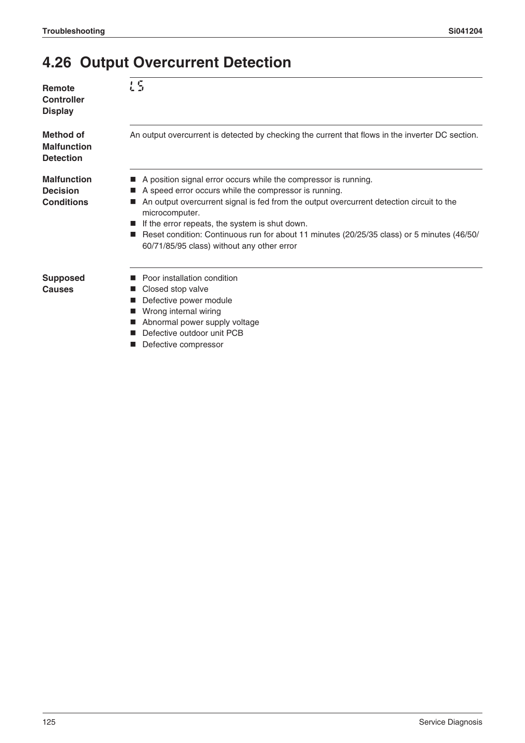### **4.26 Output Overcurrent Detection**

| Remote<br>Controller<br><b>Display</b>                     | L S                                                                                                                                                                                                                                                                                                                                                                                                                                  |
|------------------------------------------------------------|--------------------------------------------------------------------------------------------------------------------------------------------------------------------------------------------------------------------------------------------------------------------------------------------------------------------------------------------------------------------------------------------------------------------------------------|
| Method of<br><b>Malfunction</b><br><b>Detection</b>        | An output overcurrent is detected by checking the current that flows in the inverter DC section.                                                                                                                                                                                                                                                                                                                                     |
| <b>Malfunction</b><br><b>Decision</b><br><b>Conditions</b> | A position signal error occurs while the compressor is running.<br>A speed error occurs while the compressor is running.<br>An output overcurrent signal is fed from the output overcurrent detection circuit to the<br>microcomputer.<br>If the error repeats, the system is shut down.<br>Reset condition: Continuous run for about 11 minutes (20/25/35 class) or 5 minutes (46/50/<br>60/71/85/95 class) without any other error |
| <b>Supposed</b><br>Causes                                  | Poor installation condition<br>Closed stop valve<br>Defective power module<br>Wrong internal wiring<br>Abnormal power supply voltage<br>Defective outdoor unit PCB<br>Defective compressor                                                                                                                                                                                                                                           |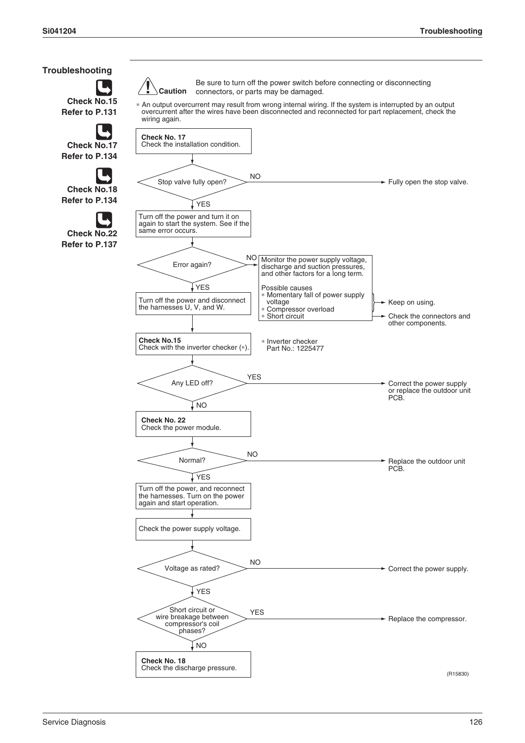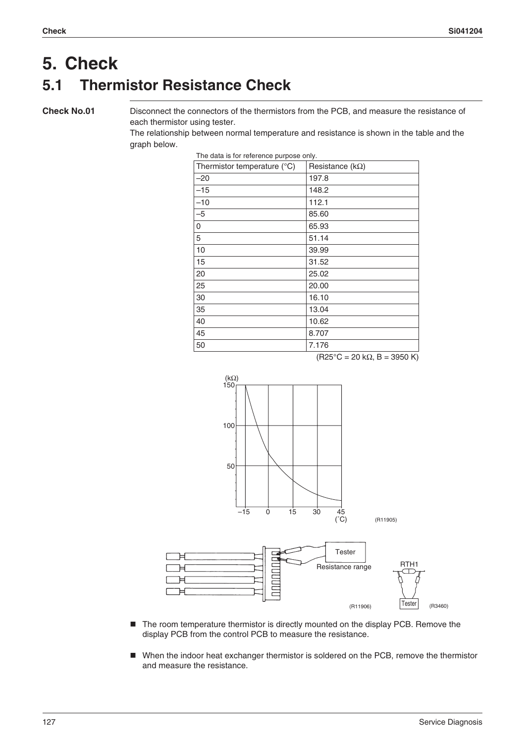### **5. Check 5.1 Thermistor Resistance Check**

**Check No.01** Disconnect the connectors of the thermistors from the PCB, and measure the resistance of each thermistor using tester.

> The relationship between normal temperature and resistance is shown in the table and the graph below.

| Thermistor temperature (°C) | Resistance ( $k\Omega$ ) |
|-----------------------------|--------------------------|
| $-20$                       | 197.8                    |
| $-15$                       | 148.2                    |
| $-10$                       | 112.1                    |
| $-5$                        | 85.60                    |
| 0                           | 65.93                    |
| 5                           | 51.14                    |
| 10                          | 39.99                    |
| 15                          | 31.52                    |
| 20                          | 25.02                    |
| 25                          | 20.00                    |
| 30                          | 16.10                    |
| 35                          | 13.04                    |
| 40                          | 10.62                    |
| 45                          | 8.707                    |
| 50                          | 7.176                    |

The data is for reference purpose only.

 $(R25^{\circ}C = 20 k\Omega, B = 3950 K)$ 



- The room temperature thermistor is directly mounted on the display PCB. Remove the display PCB from the control PCB to measure the resistance.
- When the indoor heat exchanger thermistor is soldered on the PCB, remove the thermistor and measure the resistance.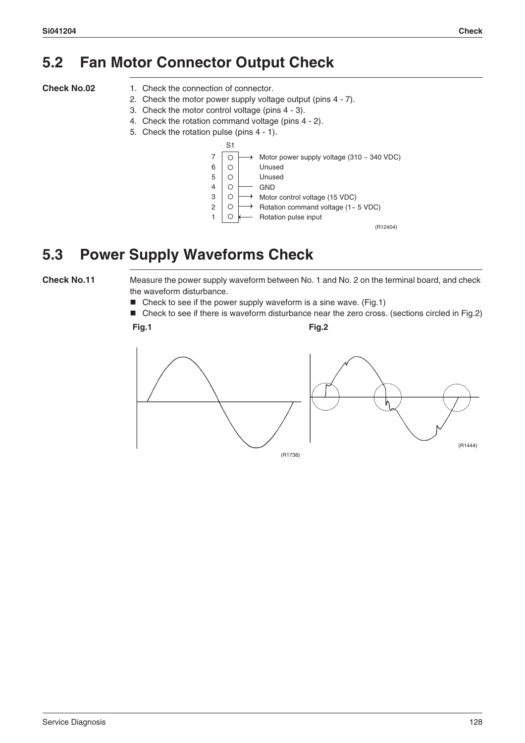### **5.2 Fan Motor Connector Output Check**

- **Check No.02** 1. Check the connection of connector.
	- 2. Check the motor power supply voltage output (pins 4 7).
	- 3. Check the motor control voltage (pins 4 3).
	- 4. Check the rotation command voltage (pins 4 2).
	- 5. Check the rotation pulse (pins 4 1).



### **5.3 Power Supply Waveforms Check**

**Check No.11** Measure the power supply waveform between No. 1 and No. 2 on the terminal board, and check the waveform disturbance.

- $\blacksquare$  Check to see if the power supply waveform is a sine wave. (Fig.1)
- Check to see if there is waveform disturbance near the zero cross. (sections circled in Fig.2) **Fig.1 Fig.2**

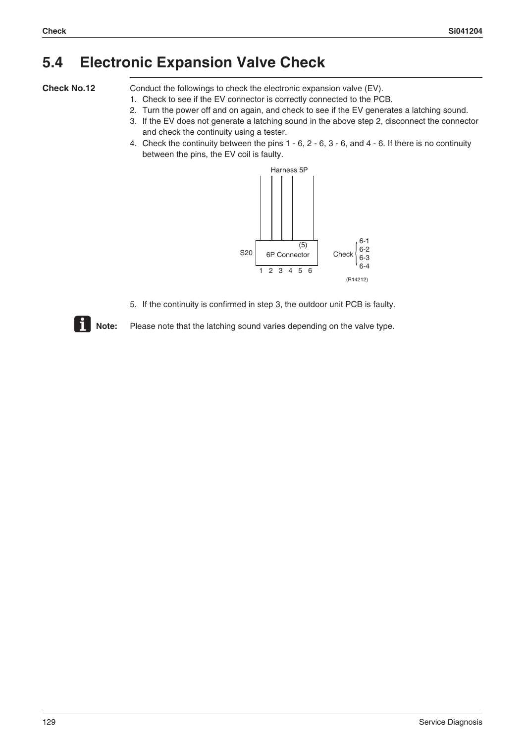### **5.4 Electronic Expansion Valve Check**

**Check No.12** Conduct the followings to check the electronic expansion valve (EV).

- 1. Check to see if the EV connector is correctly connected to the PCB.
- 2. Turn the power off and on again, and check to see if the EV generates a latching sound.
- 3. If the EV does not generate a latching sound in the above step 2, disconnect the connector and check the continuity using a tester.
- 4. Check the continuity between the pins 1 6, 2 6, 3 6, and 4 6. If there is no continuity between the pins, the EV coil is faulty.



5. If the continuity is confirmed in step 3, the outdoor unit PCB is faulty.



**Note:** Please note that the latching sound varies depending on the valve type.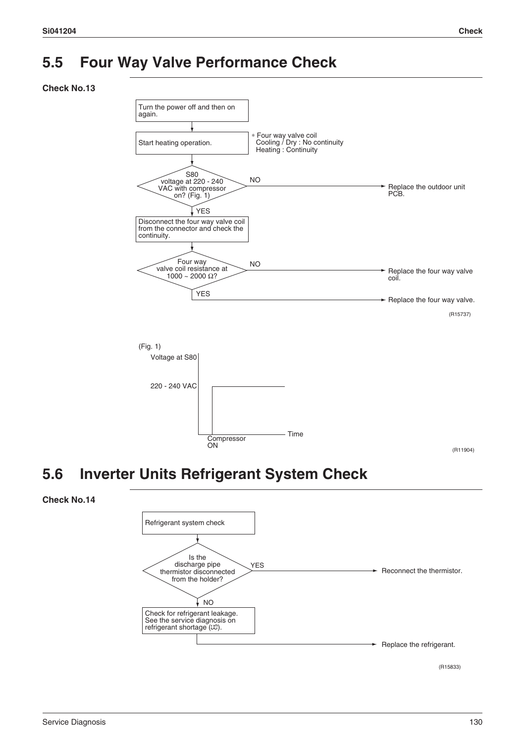### **5.5 Four Way Valve Performance Check**

#### **Check No.13**



### **5.6 Inverter Units Refrigerant System Check**

#### **Check No.14**



(R15833)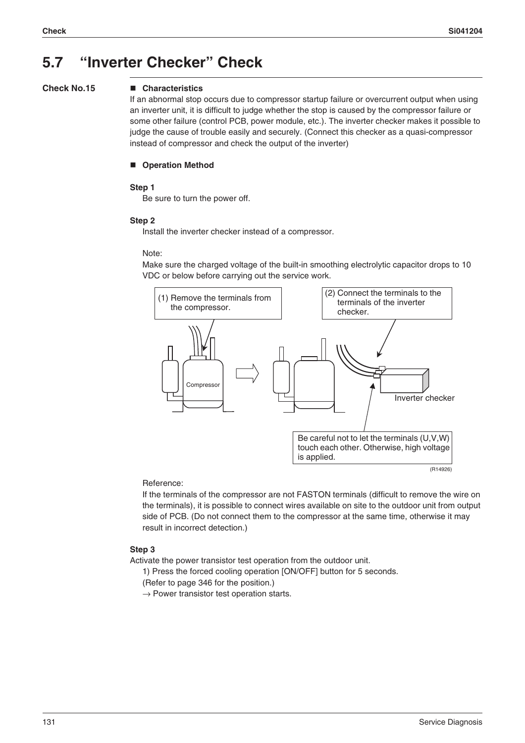### **5.7 "Inverter Checker" Check**

#### **Check No.15 Characteristics**

If an abnormal stop occurs due to compressor startup failure or overcurrent output when using an inverter unit, it is difficult to judge whether the stop is caused by the compressor failure or some other failure (control PCB, power module, etc.). The inverter checker makes it possible to judge the cause of trouble easily and securely. (Connect this checker as a quasi-compressor instead of compressor and check the output of the inverter)

#### **Operation Method**

#### **Step 1**

Be sure to turn the power off.

#### **Step 2**

Install the inverter checker instead of a compressor.

#### Note:

Make sure the charged voltage of the built-in smoothing electrolytic capacitor drops to 10 VDC or below before carrying out the service work.



#### Reference:

If the terminals of the compressor are not FASTON terminals (difficult to remove the wire on the terminals), it is possible to connect wires available on site to the outdoor unit from output side of PCB. (Do not connect them to the compressor at the same time, otherwise it may result in incorrect detection.)

#### **Step 3**

Activate the power transistor test operation from the outdoor unit.

1) Press the forced cooling operation [ON/OFF] button for 5 seconds.

- (Refer to page 346 for the position.)
- $\rightarrow$  Power transistor test operation starts.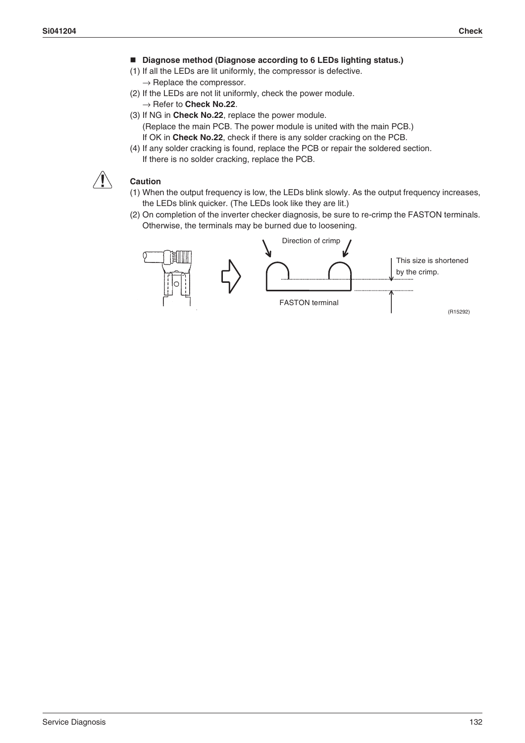- Diagnose method (Diagnose according to 6 LEDs lighting status.)
- (1) If all the LEDs are lit uniformly, the compressor is defective.  $\rightarrow$  Replace the compressor.
- (2) If the LEDs are not lit uniformly, check the power module. → Refer to **Check No.22**.
- (3) If NG in **Check No.22**, replace the power module. (Replace the main PCB. The power module is united with the main PCB.) If OK in **Check No.22**, check if there is any solder cracking on the PCB.
- (4) If any solder cracking is found, replace the PCB or repair the soldered section. If there is no solder cracking, replace the PCB.



### **Caution**

- (1) When the output frequency is low, the LEDs blink slowly. As the output frequency increases, the LEDs blink quicker. (The LEDs look like they are lit.)
- (2) On completion of the inverter checker diagnosis, be sure to re-crimp the FASTON terminals. Otherwise, the terminals may be burned due to loosening.

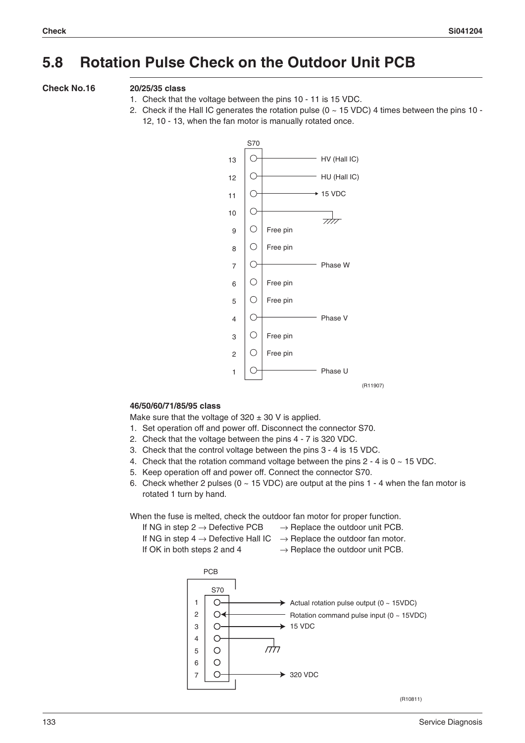### **5.8 Rotation Pulse Check on the Outdoor Unit PCB**

#### **Check No.16 20/25/35 class**

- 1. Check that the voltage between the pins 10 11 is 15 VDC.
- 2. Check if the Hall IC generates the rotation pulse ( $0 \sim 15$  VDC) 4 times between the pins 10 -12, 10 - 13, when the fan motor is manually rotated once.



#### **46/50/60/71/85/95 class**

Make sure that the voltage of  $320 \pm 30$  V is applied.

- 1. Set operation off and power off. Disconnect the connector S70.
- 2. Check that the voltage between the pins 4 7 is 320 VDC.
- 3. Check that the control voltage between the pins 3 4 is 15 VDC.
- 4. Check that the rotation command voltage between the pins  $2 4$  is  $0 \sim 15$  VDC.
- 5. Keep operation off and power off. Connect the connector S70.
- 6. Check whether 2 pulses ( $0 \sim 15$  VDC) are output at the pins 1 4 when the fan motor is rotated 1 turn by hand.

15 VDC

When the fuse is melted, check the outdoor fan motor for proper function.

 $7 \mid$  0  $\rightarrow$  320 VDC

m

| If NG in step 2 $\rightarrow$ Defective PCB     | $\rightarrow$ Replace the outdoor unit PCB.  |
|-------------------------------------------------|----------------------------------------------|
| If NG in step 4 $\rightarrow$ Defective Hall IC | $\rightarrow$ Replace the outdoor fan motor. |

If OK in both steps 2 and 4  $\rightarrow$  Replace the outdoor unit PCB.



S70

 $\circ$  $\overline{O}$  $\circ$  $\circ$ 

 $\circ$  $\circ$ 



Rotation command pulse input (0 ~ 15VDC)

(R10811)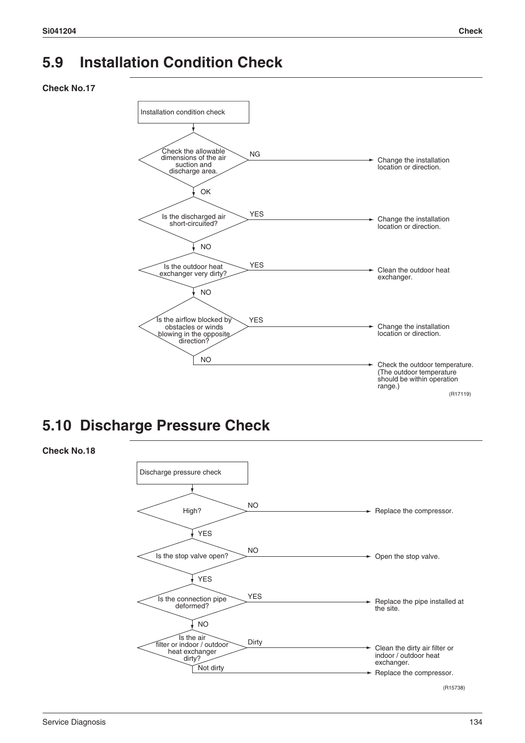### **5.9 Installation Condition Check**

**Check No.17**



### **5.10 Discharge Pressure Check**



**Check No.18**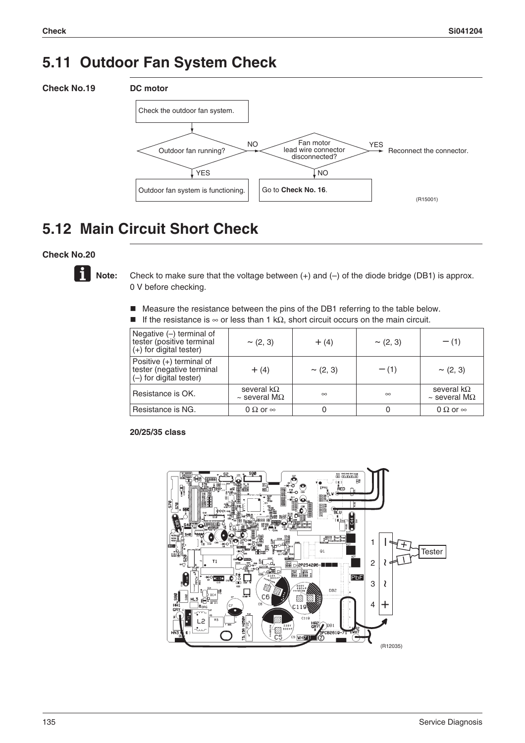### **5.11 Outdoor Fan System Check**



### **5.12 Main Circuit Short Check**

#### **Check No.20**



Note: Check to make sure that the voltage between (+) and (-) of the diode bridge (DB1) is approx. 0 V before checking.

- Measure the resistance between the pins of the DB1 referring to the table below.
- If the resistance is  $\infty$  or less than 1 kΩ, short circuit occurs on the main circuit.

| Negative $(-)$ terminal of<br>tester (positive terminal<br>$(+)$ for digital tester) | $\sim$ (2, 3)                                   | $+ (4)$       | $\sim$ (2, 3) | $- (1)$                                        |
|--------------------------------------------------------------------------------------|-------------------------------------------------|---------------|---------------|------------------------------------------------|
| Positive $(+)$ terminal of<br>tester (negative terminal<br>$(-)$ for digital tester) | $+ (4)$                                         | $\sim$ (2, 3) | $- (1)$       | $\sim$ (2, 3)                                  |
| Resistance is OK.                                                                    | several k $\Omega$<br>$\sim$ several M $\Omega$ | $\infty$      | $\infty$      | several $k\Omega$<br>$\sim$ several M $\Omega$ |
| Resistance is NG.                                                                    | 0 $\Omega$ or $\infty$                          |               |               | 0 $\Omega$ or $\infty$                         |

#### **20/25/35 class**

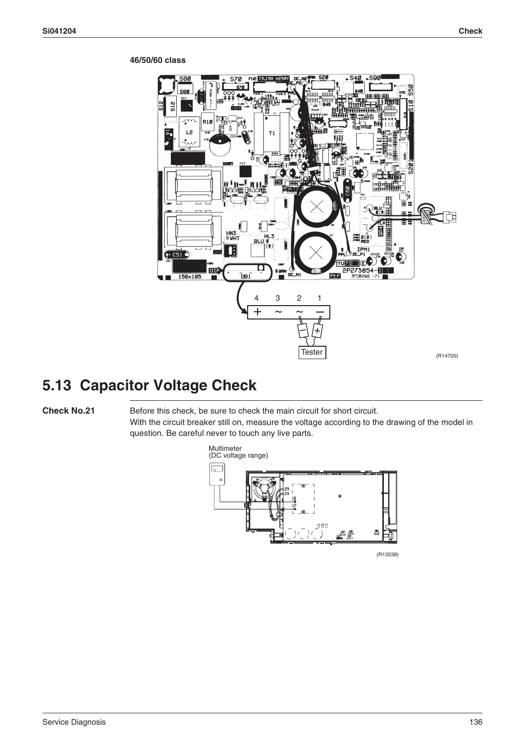### ć  $L<sub>2</sub>$  $T1$ œ  $\overline{c51}$ **YUZ1 DIP PLF** 2P273854  $\tilde{D}$ .<br>N1 158×195 4 3 2 1  $\frac{4}{+}$   $\frac{3}{-}$   $\frac{2}{-}$ +/ \ –**Tester** (R14700)

#### **46/50/60 class**

### **5.13 Capacitor Voltage Check**

**Check No.21** Before this check, be sure to check the main circuit for short circuit. With the circuit breaker still on, measure the voltage according to the drawing of the model in question. Be careful never to touch any live parts.

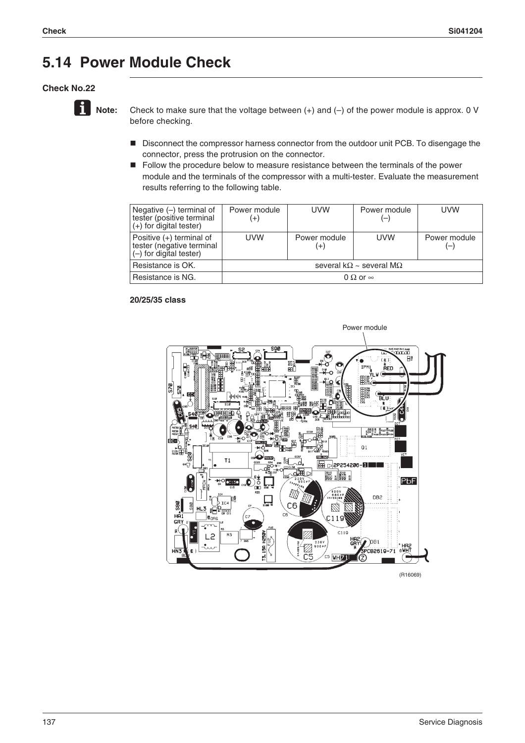### **5.14 Power Module Check**

#### **Check No.22**



**Note:** Check to make sure that the voltage between (+) and (-) of the power module is approx. 0 V before checking.

- Disconnect the compressor harness connector from the outdoor unit PCB. To disengage the connector, press the protrusion on the connector.
- **F** Follow the procedure below to measure resistance between the terminals of the power module and the terminals of the compressor with a multi-tester. Evaluate the measurement results referring to the following table.

| Negative $(-)$ terminal of<br>tester (positive terminal<br>$(+)$ for digital tester) | Power module<br>$^{(+)}$                | <b>UVW</b>            | Power module<br>$(-)$ | <b>UVW</b>   |
|--------------------------------------------------------------------------------------|-----------------------------------------|-----------------------|-----------------------|--------------|
| Positive $(+)$ terminal of<br>tester (negative terminal<br>(-) for digital tester)   | <b>UVW</b>                              | Power module<br>$(+)$ | <b>UVW</b>            | Power module |
| Resistance is OK.                                                                    | several k $\Omega$ ~ several M $\Omega$ |                       |                       |              |
| Resistance is NG.                                                                    | 0 $\Omega$ or $\infty$                  |                       |                       |              |

#### **20/25/35 class**



(R16069)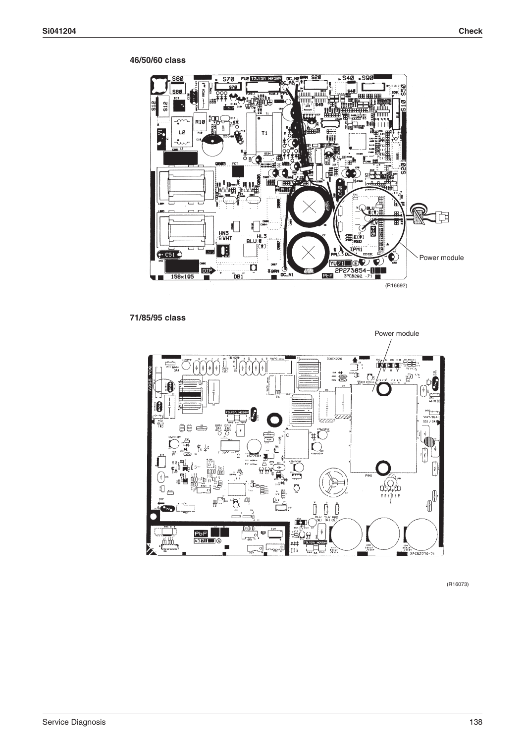#### **46/50/60 class**



### **71/85/95 class**



(R16073)